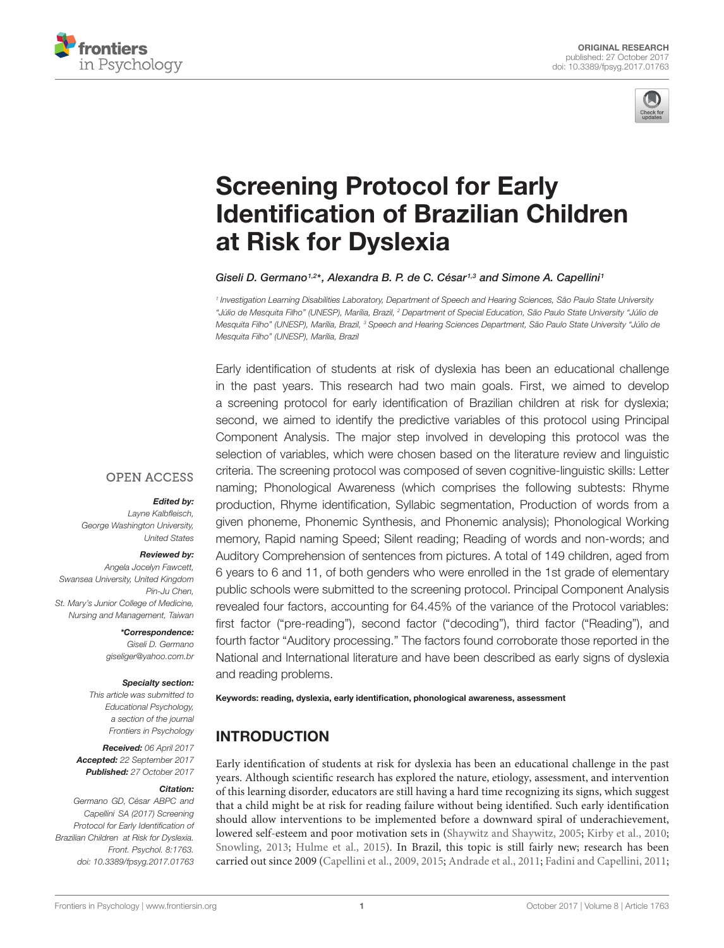



# Screening Protocol for Early [Identification of Brazilian Children](https://www.frontiersin.org/articles/10.3389/fpsyg.2017.01763/full) at Risk for Dyslexia

#### [Giseli D. Germano](http://loop.frontiersin.org/people/110419/overview)<sup>1,2\*</sup>, [Alexandra B. P. de C. César](http://loop.frontiersin.org/people/484310/overview)<sup>1,3</sup> and [Simone A. Capellini](http://loop.frontiersin.org/people/110432/overview)<sup>1</sup>

1 Investigation Learning Disabilities Laboratory, Department of Speech and Hearing Sciences, São Paulo State University "Júlio de Mesquita Filho" (UNESP), Marília, Brazil, <sup>2</sup> Department of Special Education, São Paulo State University "Júlio de Mesquita Filho" (UNESP), Marília, Brazil, <sup>3</sup> Speech and Hearing Sciences Department, São Paulo State University "Júlio de Mesquita Filho" (UNESP), Marília, Brazil

Early identification of students at risk of dyslexia has been an educational challenge in the past years. This research had two main goals. First, we aimed to develop a screening protocol for early identification of Brazilian children at risk for dyslexia; second, we aimed to identify the predictive variables of this protocol using Principal Component Analysis. The major step involved in developing this protocol was the selection of variables, which were chosen based on the literature review and linguistic criteria. The screening protocol was composed of seven cognitive-linguistic skills: Letter naming; Phonological Awareness (which comprises the following subtests: Rhyme production, Rhyme identification, Syllabic segmentation, Production of words from a given phoneme, Phonemic Synthesis, and Phonemic analysis); Phonological Working memory, Rapid naming Speed; Silent reading; Reading of words and non-words; and Auditory Comprehension of sentences from pictures. A total of 149 children, aged from 6 years to 6 and 11, of both genders who were enrolled in the 1st grade of elementary public schools were submitted to the screening protocol. Principal Component Analysis revealed four factors, accounting for 64.45% of the variance of the Protocol variables: first factor ("pre-reading"), second factor ("decoding"), third factor ("Reading"), and fourth factor "Auditory processing." The factors found corroborate those reported in the National and International literature and have been described as early signs of dyslexia and reading problems.

Keywords: reading, dyslexia, early identification, phonological awareness, assessment

# **INTRODUCTION**

Early identification of students at risk for dyslexia has been an educational challenge in the past years. Although scientific research has explored the nature, etiology, assessment, and intervention of this learning disorder, educators are still having a hard time recognizing its signs, which suggest that a child might be at risk for reading failure without being identified. Such early identification should allow interventions to be implemented before a downward spiral of underachievement, lowered self-esteem and poor motivation sets in [\(Shaywitz and Shaywitz,](#page-12-0) [2005;](#page-12-0) [Kirby et al.,](#page-12-1) [2010;](#page-12-1) [Snowling,](#page-12-2) [2013;](#page-12-2) [Hulme et al.,](#page-11-0) [2015\)](#page-11-0). In Brazil, this topic is still fairly new; research has been carried out since 2009 [\(Capellini et al.,](#page-11-1) [2009,](#page-11-1) [2015;](#page-11-2) [Andrade et al.,](#page-10-0) [2011;](#page-10-0) [Fadini and Capellini,](#page-11-3) [2011;](#page-11-3)

#### **OPEN ACCESS**

#### Edited by:

Layne Kalbfleisch, George Washington University, United States

#### Reviewed by:

Angela Jocelyn Fawcett, Swansea University, United Kingdom Pin-Ju Chen, St. Mary's Junior College of Medicine, Nursing and Management, Taiwan

> \*Correspondence: Giseli D. Germano giseliger@yahoo.com.br

#### Specialty section:

This article was submitted to Educational Psychology, a section of the journal Frontiers in Psychology

Received: 06 April 2017 Accepted: 22 September 2017 Published: 27 October 2017

#### Citation:

Germano GD, César ABPC and Capellini SA (2017) Screening Protocol for Early Identification of Brazilian Children at Risk for Dyslexia. Front. Psychol. 8:1763. doi: [10.3389/fpsyg.2017.01763](https://doi.org/10.3389/fpsyg.2017.01763)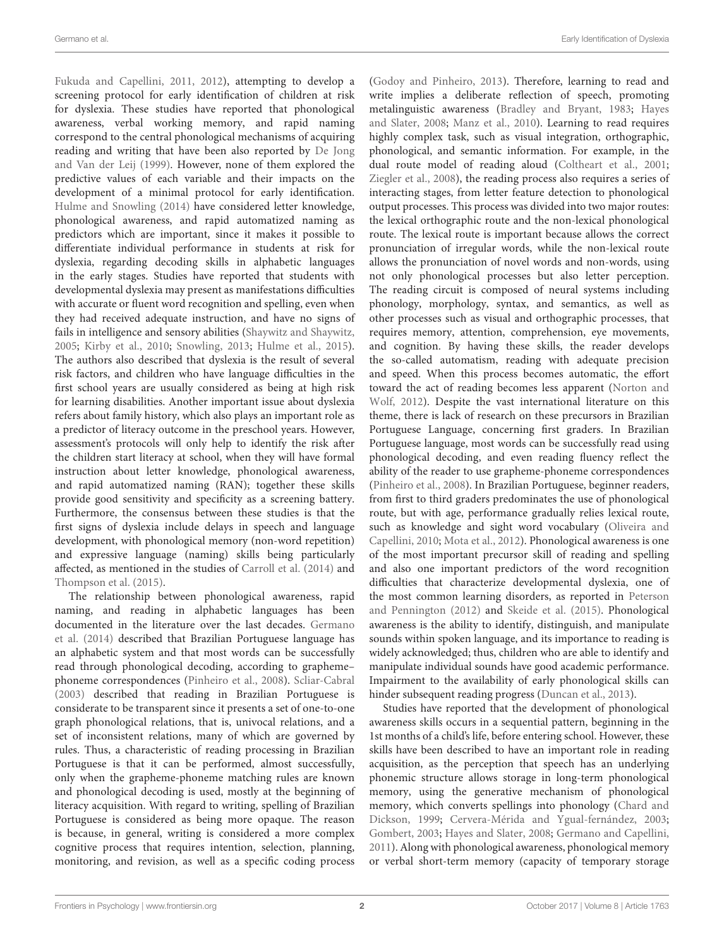[Fukuda and Capellini,](#page-11-4) [2011,](#page-11-4) [2012\)](#page-11-5), attempting to develop a screening protocol for early identification of children at risk for dyslexia. These studies have reported that phonological awareness, verbal working memory, and rapid naming correspond to the central phonological mechanisms of acquiring reading and writing that have been also reported by [De Jong](#page-11-6) [and Van der Leij](#page-11-6) [\(1999\)](#page-11-6). However, none of them explored the predictive values of each variable and their impacts on the development of a minimal protocol for early identification. [Hulme and Snowling](#page-11-7) [\(2014\)](#page-11-7) have considered letter knowledge, phonological awareness, and rapid automatized naming as predictors which are important, since it makes it possible to differentiate individual performance in students at risk for dyslexia, regarding decoding skills in alphabetic languages in the early stages. Studies have reported that students with developmental dyslexia may present as manifestations difficulties with accurate or fluent word recognition and spelling, even when they had received adequate instruction, and have no signs of fails in intelligence and sensory abilities [\(Shaywitz and Shaywitz,](#page-12-0) [2005;](#page-12-0) [Kirby et al.,](#page-12-1) [2010;](#page-12-1) [Snowling,](#page-12-2) [2013;](#page-12-2) [Hulme et al.,](#page-11-0) [2015\)](#page-11-0). The authors also described that dyslexia is the result of several risk factors, and children who have language difficulties in the first school years are usually considered as being at high risk for learning disabilities. Another important issue about dyslexia refers about family history, which also plays an important role as a predictor of literacy outcome in the preschool years. However, assessment's protocols will only help to identify the risk after the children start literacy at school, when they will have formal instruction about letter knowledge, phonological awareness, and rapid automatized naming (RAN); together these skills provide good sensitivity and specificity as a screening battery. Furthermore, the consensus between these studies is that the first signs of dyslexia include delays in speech and language development, with phonological memory (non-word repetition) and expressive language (naming) skills being particularly affected, as mentioned in the studies of [Carroll et al.](#page-11-8) [\(2014\)](#page-11-8) and [Thompson et al.](#page-12-3) [\(2015\)](#page-12-3).

The relationship between phonological awareness, rapid naming, and reading in alphabetic languages has been documented in the literature over the last decades. [Germano](#page-11-9) [et al.](#page-11-9) [\(2014\)](#page-11-9) described that Brazilian Portuguese language has an alphabetic system and that most words can be successfully read through phonological decoding, according to grapheme– phoneme correspondences [\(Pinheiro et al.,](#page-12-4) [2008\)](#page-12-4). [Scliar-Cabral](#page-12-5) [\(2003\)](#page-12-5) described that reading in Brazilian Portuguese is considerate to be transparent since it presents a set of one-to-one graph phonological relations, that is, univocal relations, and a set of inconsistent relations, many of which are governed by rules. Thus, a characteristic of reading processing in Brazilian Portuguese is that it can be performed, almost successfully, only when the grapheme-phoneme matching rules are known and phonological decoding is used, mostly at the beginning of literacy acquisition. With regard to writing, spelling of Brazilian Portuguese is considered as being more opaque. The reason is because, in general, writing is considered a more complex cognitive process that requires intention, selection, planning, monitoring, and revision, as well as a specific coding process [\(Godoy and Pinheiro,](#page-11-10) [2013\)](#page-11-10). Therefore, learning to read and write implies a deliberate reflection of speech, promoting metalinguistic awareness [\(Bradley and Bryant,](#page-10-1) [1983;](#page-10-1) [Hayes](#page-11-11) [and Slater,](#page-11-11) [2008;](#page-11-11) [Manz et al.,](#page-12-6) [2010\)](#page-12-6). Learning to read requires highly complex task, such as visual integration, orthographic, phonological, and semantic information. For example, in the dual route model of reading aloud [\(Coltheart et al.,](#page-11-12) [2001;](#page-11-12) [Ziegler et al.,](#page-12-7) [2008\)](#page-12-7), the reading process also requires a series of interacting stages, from letter feature detection to phonological output processes. This process was divided into two major routes: the lexical orthographic route and the non-lexical phonological route. The lexical route is important because allows the correct pronunciation of irregular words, while the non-lexical route allows the pronunciation of novel words and non-words, using not only phonological processes but also letter perception. The reading circuit is composed of neural systems including phonology, morphology, syntax, and semantics, as well as other processes such as visual and orthographic processes, that requires memory, attention, comprehension, eye movements, and cognition. By having these skills, the reader develops the so-called automatism, reading with adequate precision and speed. When this process becomes automatic, the effort toward the act of reading becomes less apparent [\(Norton and](#page-12-8) [Wolf,](#page-12-8) [2012\)](#page-12-8). Despite the vast international literature on this theme, there is lack of research on these precursors in Brazilian Portuguese Language, concerning first graders. In Brazilian Portuguese language, most words can be successfully read using phonological decoding, and even reading fluency reflect the ability of the reader to use grapheme-phoneme correspondences [\(Pinheiro et al.,](#page-12-4) [2008\)](#page-12-4). In Brazilian Portuguese, beginner readers, from first to third graders predominates the use of phonological route, but with age, performance gradually relies lexical route, such as knowledge and sight word vocabulary [\(Oliveira and](#page-12-9) [Capellini,](#page-12-9) [2010;](#page-12-9) [Mota et al.,](#page-12-10) [2012\)](#page-12-10). Phonological awareness is one of the most important precursor skill of reading and spelling and also one important predictors of the word recognition difficulties that characterize developmental dyslexia, one of the most common learning disorders, as reported in [Peterson](#page-12-11) [and Pennington](#page-12-11) [\(2012\)](#page-12-11) and [Skeide et al.](#page-12-12) [\(2015\)](#page-12-12). Phonological awareness is the ability to identify, distinguish, and manipulate sounds within spoken language, and its importance to reading is widely acknowledged; thus, children who are able to identify and manipulate individual sounds have good academic performance. Impairment to the availability of early phonological skills can hinder subsequent reading progress [\(Duncan et al.,](#page-11-13) [2013\)](#page-11-13).

Studies have reported that the development of phonological awareness skills occurs in a sequential pattern, beginning in the 1st months of a child's life, before entering school. However, these skills have been described to have an important role in reading acquisition, as the perception that speech has an underlying phonemic structure allows storage in long-term phonological memory, using the generative mechanism of phonological memory, which converts spellings into phonology [\(Chard and](#page-11-14) [Dickson,](#page-11-14) [1999;](#page-11-14) [Cervera-Mérida and Ygual-fernández,](#page-11-15) [2003;](#page-11-15) [Gombert,](#page-11-16) [2003;](#page-11-16) [Hayes and Slater,](#page-11-11) [2008;](#page-11-11) [Germano and Capellini,](#page-11-17) [2011\)](#page-11-17). Along with phonological awareness, phonological memory or verbal short-term memory (capacity of temporary storage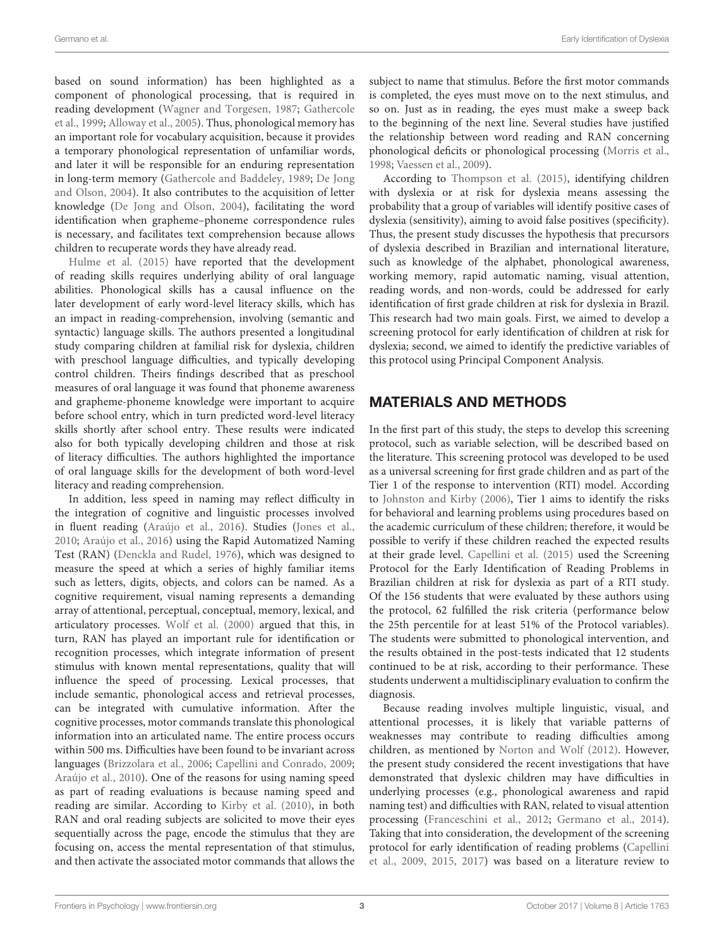based on sound information) has been highlighted as a component of phonological processing, that is required in reading development [\(Wagner and Torgesen,](#page-12-13) [1987;](#page-12-13) [Gathercole](#page-11-18) [et al.,](#page-11-18) [1999;](#page-11-18) [Alloway et al.,](#page-10-2) [2005\)](#page-10-2). Thus, phonological memory has an important role for vocabulary acquisition, because it provides a temporary phonological representation of unfamiliar words, and later it will be responsible for an enduring representation in long-term memory [\(Gathercole and Baddeley,](#page-11-19) [1989;](#page-11-19) [De Jong](#page-11-20) [and Olson,](#page-11-20) [2004\)](#page-11-20). It also contributes to the acquisition of letter knowledge [\(De Jong and Olson,](#page-11-20) [2004\)](#page-11-20), facilitating the word identification when grapheme–phoneme correspondence rules is necessary, and facilitates text comprehension because allows children to recuperate words they have already read.

[Hulme et al.](#page-11-0) [\(2015\)](#page-11-0) have reported that the development of reading skills requires underlying ability of oral language abilities. Phonological skills has a causal influence on the later development of early word-level literacy skills, which has an impact in reading-comprehension, involving (semantic and syntactic) language skills. The authors presented a longitudinal study comparing children at familial risk for dyslexia, children with preschool language difficulties, and typically developing control children. Theirs findings described that as preschool measures of oral language it was found that phoneme awareness and grapheme-phoneme knowledge were important to acquire before school entry, which in turn predicted word-level literacy skills shortly after school entry. These results were indicated also for both typically developing children and those at risk of literacy difficulties. The authors highlighted the importance of oral language skills for the development of both word-level literacy and reading comprehension.

In addition, less speed in naming may reflect difficulty in the integration of cognitive and linguistic processes involved in fluent reading [\(Araújo et al.,](#page-10-3) [2016\)](#page-10-3). Studies [\(Jones et al.,](#page-11-21) [2010;](#page-11-21) [Araújo et al.,](#page-10-3) [2016\)](#page-10-3) using the Rapid Automatized Naming Test (RAN) [\(Denckla and Rudel,](#page-11-22) [1976\)](#page-11-22), which was designed to measure the speed at which a series of highly familiar items such as letters, digits, objects, and colors can be named. As a cognitive requirement, visual naming represents a demanding array of attentional, perceptual, conceptual, memory, lexical, and articulatory processes. [Wolf et al.](#page-12-14) [\(2000\)](#page-12-14) argued that this, in turn, RAN has played an important rule for identification or recognition processes, which integrate information of present stimulus with known mental representations, quality that will influence the speed of processing. Lexical processes, that include semantic, phonological access and retrieval processes, can be integrated with cumulative information. After the cognitive processes, motor commands translate this phonological information into an articulated name. The entire process occurs within 500 ms. Difficulties have been found to be invariant across languages [\(Brizzolara et al.,](#page-10-4) [2006;](#page-10-4) [Capellini and Conrado,](#page-11-23) [2009;](#page-11-23) [Araújo et al.,](#page-10-5) [2010\)](#page-10-5). One of the reasons for using naming speed as part of reading evaluations is because naming speed and reading are similar. According to [Kirby et al.](#page-12-1) [\(2010\)](#page-12-1), in both RAN and oral reading subjects are solicited to move their eyes sequentially across the page, encode the stimulus that they are focusing on, access the mental representation of that stimulus, and then activate the associated motor commands that allows the subject to name that stimulus. Before the first motor commands is completed, the eyes must move on to the next stimulus, and so on. Just as in reading, the eyes must make a sweep back to the beginning of the next line. Several studies have justified the relationship between word reading and RAN concerning phonological deficits or phonological processing [\(Morris et al.,](#page-12-15) [1998;](#page-12-15) [Vaessen et al.,](#page-12-16) [2009\)](#page-12-16).

According to [Thompson et al.](#page-12-3) [\(2015\)](#page-12-3), identifying children with dyslexia or at risk for dyslexia means assessing the probability that a group of variables will identify positive cases of dyslexia (sensitivity), aiming to avoid false positives (specificity). Thus, the present study discusses the hypothesis that precursors of dyslexia described in Brazilian and international literature, such as knowledge of the alphabet, phonological awareness, working memory, rapid automatic naming, visual attention, reading words, and non-words, could be addressed for early identification of first grade children at risk for dyslexia in Brazil. This research had two main goals. First, we aimed to develop a screening protocol for early identification of children at risk for dyslexia; second, we aimed to identify the predictive variables of this protocol using Principal Component Analysis.

## MATERIALS AND METHODS

In the first part of this study, the steps to develop this screening protocol, such as variable selection, will be described based on the literature. This screening protocol was developed to be used as a universal screening for first grade children and as part of the Tier 1 of the response to intervention (RTI) model. According to [Johnston and Kirby](#page-11-24) [\(2006\)](#page-11-24), Tier 1 aims to identify the risks for behavioral and learning problems using procedures based on the academic curriculum of these children; therefore, it would be possible to verify if these children reached the expected results at their grade level. [Capellini et al.](#page-11-2) [\(2015\)](#page-11-2) used the Screening Protocol for the Early Identification of Reading Problems in Brazilian children at risk for dyslexia as part of a RTI study. Of the 156 students that were evaluated by these authors using the protocol, 62 fulfilled the risk criteria (performance below the 25th percentile for at least 51% of the Protocol variables). The students were submitted to phonological intervention, and the results obtained in the post-tests indicated that 12 students continued to be at risk, according to their performance. These students underwent a multidisciplinary evaluation to confirm the diagnosis.

Because reading involves multiple linguistic, visual, and attentional processes, it is likely that variable patterns of weaknesses may contribute to reading difficulties among children, as mentioned by [Norton and Wolf](#page-12-8) [\(2012\)](#page-12-8). However, the present study considered the recent investigations that have demonstrated that dyslexic children may have difficulties in underlying processes (e.g., phonological awareness and rapid naming test) and difficulties with RAN, related to visual attention processing [\(Franceschini et al.,](#page-11-25) [2012;](#page-11-25) [Germano et al.,](#page-11-9) [2014\)](#page-11-9). Taking that into consideration, the development of the screening protocol for early identification of reading problems [\(Capellini](#page-11-1) [et al.,](#page-11-1) [2009,](#page-11-1) [2015,](#page-11-2) [2017\)](#page-11-26) was based on a literature review to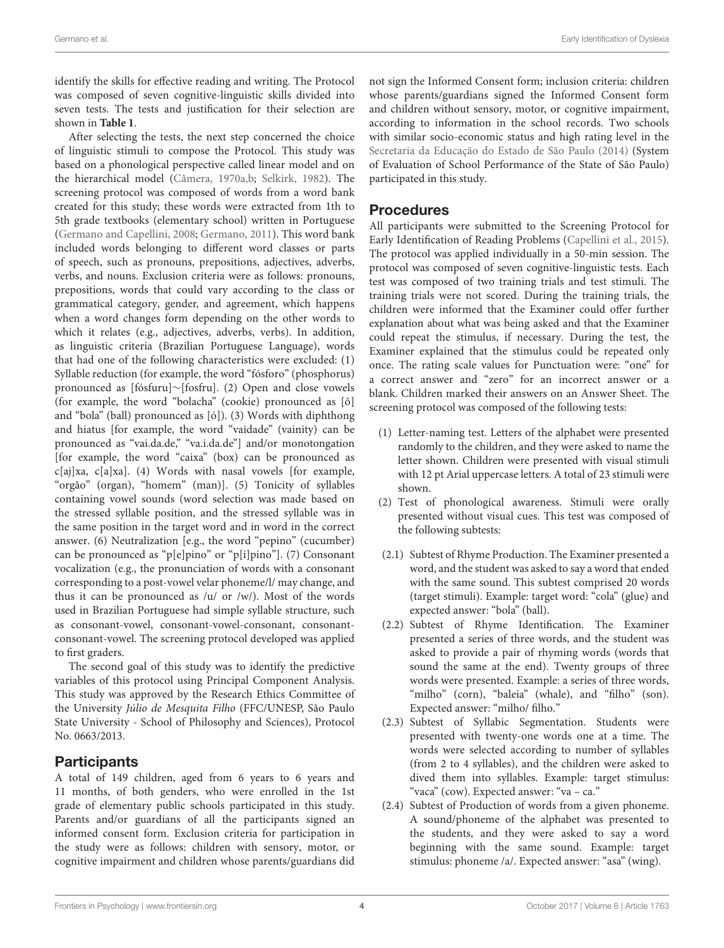identify the skills for effective reading and writing. The Protocol was composed of seven cognitive-linguistic skills divided into seven tests. The tests and justification for their selection are shown in **[Table 1](#page-4-0)**.

After selecting the tests, the next step concerned the choice of linguistic stimuli to compose the Protocol. This study was based on a phonological perspective called linear model and on the hierarchical model [\(Câmera,](#page-10-6) [1970a,](#page-10-6)[b;](#page-11-27) [Selkirk,](#page-12-17) [1982\)](#page-12-17). The screening protocol was composed of words from a word bank created for this study; these words were extracted from 1th to 5th grade textbooks (elementary school) written in Portuguese [\(Germano and Capellini,](#page-11-28) [2008;](#page-11-28) [Germano,](#page-11-29) [2011\)](#page-11-29). This word bank included words belonging to different word classes or parts of speech, such as pronouns, prepositions, adjectives, adverbs, verbs, and nouns. Exclusion criteria were as follows: pronouns, prepositions, words that could vary according to the class or grammatical category, gender, and agreement, which happens when a word changes form depending on the other words to which it relates (e.g., adjectives, adverbs, verbs). In addition, as linguistic criteria (Brazilian Portuguese Language), words that had one of the following characteristics were excluded: (1) Syllable reduction (for example, the word "fósforo" (phosphorus) pronounced as [fósfuru]∼[fosfru]. (2) Open and close vowels (for example, the word "bolacha" (cookie) pronounced as [ô] and "bola" (ball) pronounced as [ó]). (3) Words with diphthong and hiatus [for example, the word "vaidade" (vainity) can be pronounced as "vai.da.de," "va.i.da.de"] and/or monotongation [for example, the word "caixa" (box) can be pronounced as c[aj]xa, c[a]xa]. (4) Words with nasal vowels [for example, "orgão" (organ), "homem" (man)]. (5) Tonicity of syllables containing vowel sounds (word selection was made based on the stressed syllable position, and the stressed syllable was in the same position in the target word and in word in the correct answer. (6) Neutralization [e.g., the word "pepino" (cucumber) can be pronounced as "p[e]pino" or "p[i]pino"]. (7) Consonant vocalization (e.g., the pronunciation of words with a consonant corresponding to a post-vowel velar phoneme/l/ may change, and thus it can be pronounced as /u/ or /w/). Most of the words used in Brazilian Portuguese had simple syllable structure, such as consonant-vowel, consonant-vowel-consonant, consonantconsonant-vowel. The screening protocol developed was applied to first graders.

The second goal of this study was to identify the predictive variables of this protocol using Principal Component Analysis. This study was approved by the Research Ethics Committee of the University Júlio de Mesquita Filho (FFC/UNESP, São Paulo State University - School of Philosophy and Sciences), Protocol No. 0663/2013.

## **Participants**

A total of 149 children, aged from 6 years to 6 years and 11 months, of both genders, who were enrolled in the 1st grade of elementary public schools participated in this study. Parents and/or guardians of all the participants signed an informed consent form. Exclusion criteria for participation in the study were as follows: children with sensory, motor, or cognitive impairment and children whose parents/guardians did not sign the Informed Consent form; inclusion criteria: children whose parents/guardians signed the Informed Consent form and children without sensory, motor, or cognitive impairment, according to information in the school records. Two schools with similar socio-economic status and high rating level in the [Secretaria da Educação do Estado de São Paulo](#page-12-18) [\(2014\)](#page-12-18) (System of Evaluation of School Performance of the State of São Paulo) participated in this study.

#### Procedures

All participants were submitted to the Screening Protocol for Early Identification of Reading Problems [\(Capellini et al.,](#page-11-2) [2015\)](#page-11-2). The protocol was applied individually in a 50-min session. The protocol was composed of seven cognitive-linguistic tests. Each test was composed of two training trials and test stimuli. The training trials were not scored. During the training trials, the children were informed that the Examiner could offer further explanation about what was being asked and that the Examiner could repeat the stimulus, if necessary. During the test, the Examiner explained that the stimulus could be repeated only once. The rating scale values for Punctuation were: "one" for a correct answer and "zero" for an incorrect answer or a blank. Children marked their answers on an Answer Sheet. The screening protocol was composed of the following tests:

- (1) Letter-naming test. Letters of the alphabet were presented randomly to the children, and they were asked to name the letter shown. Children were presented with visual stimuli with 12 pt Arial uppercase letters. A total of 23 stimuli were shown.
- (2) Test of phonological awareness. Stimuli were orally presented without visual cues. This test was composed of the following subtests:
- (2.1) Subtest of Rhyme Production. The Examiner presented a word, and the student was asked to say a word that ended with the same sound. This subtest comprised 20 words (target stimuli). Example: target word: "cola" (glue) and expected answer: "bola" (ball).
- (2.2) Subtest of Rhyme Identification. The Examiner presented a series of three words, and the student was asked to provide a pair of rhyming words (words that sound the same at the end). Twenty groups of three words were presented. Example: a series of three words, "milho" (corn), "baleia" (whale), and "filho" (son). Expected answer: "milho/ filho."
- (2.3) Subtest of Syllabic Segmentation. Students were presented with twenty-one words one at a time. The words were selected according to number of syllables (from 2 to 4 syllables), and the children were asked to dived them into syllables. Example: target stimulus: "vaca" (cow). Expected answer: "va – ca."
- (2.4) Subtest of Production of words from a given phoneme. A sound/phoneme of the alphabet was presented to the students, and they were asked to say a word beginning with the same sound. Example: target stimulus: phoneme /a/. Expected answer: "asa" (wing).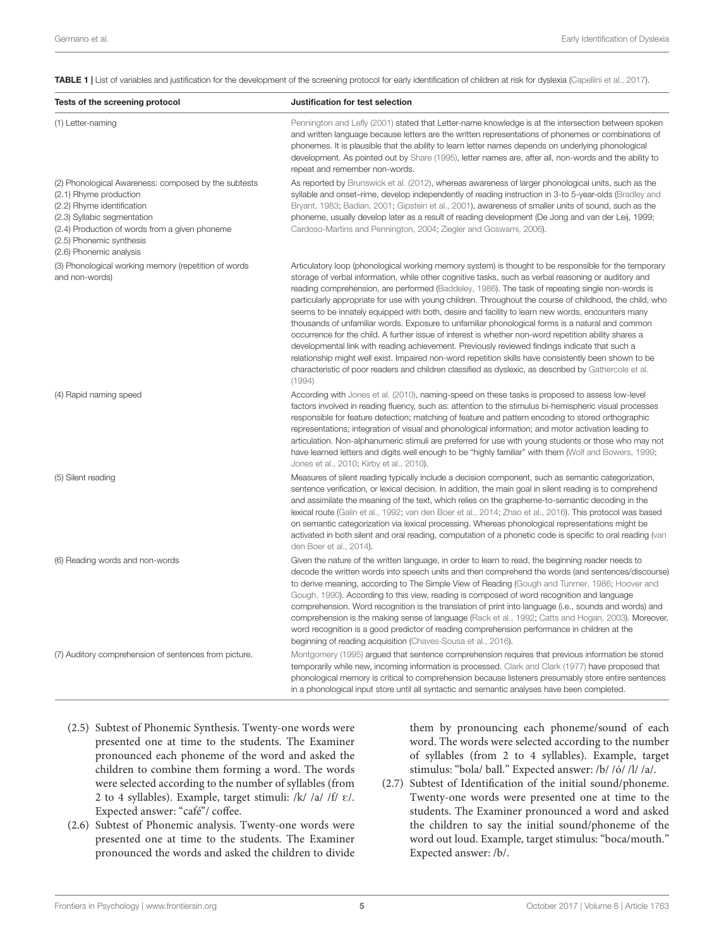<span id="page-4-0"></span>TABLE 1 | List of variables and justification for the development of the screening protocol for early identification of children at risk for dyslexia [\(Capellini et al.,](#page-11-26) [2017\)](#page-11-26).

| Tests of the screening protocol                                                                                                                                                                                                                      | Justification for test selection                                                                                                                                                                                                                                                                                                                                                                                                                                                                                                                                                                                                                                                                                                                                                                                                                                                                                                                                                                                                                                             |
|------------------------------------------------------------------------------------------------------------------------------------------------------------------------------------------------------------------------------------------------------|------------------------------------------------------------------------------------------------------------------------------------------------------------------------------------------------------------------------------------------------------------------------------------------------------------------------------------------------------------------------------------------------------------------------------------------------------------------------------------------------------------------------------------------------------------------------------------------------------------------------------------------------------------------------------------------------------------------------------------------------------------------------------------------------------------------------------------------------------------------------------------------------------------------------------------------------------------------------------------------------------------------------------------------------------------------------------|
| (1) Letter-naming                                                                                                                                                                                                                                    | Pennington and Lefly (2001) stated that Letter-name knowledge is at the intersection between spoken<br>and written language because letters are the written representations of phonemes or combinations of<br>phonemes. It is plausible that the ability to learn letter names depends on underlying phonological<br>development. As pointed out by Share (1995), letter names are, after all, non-words and the ability to<br>repeat and remember non-words.                                                                                                                                                                                                                                                                                                                                                                                                                                                                                                                                                                                                                |
| (2) Phonological Awareness: composed by the subtests<br>(2.1) Rhyme production<br>(2.2) Rhyme identification<br>(2.3) Syllabic segmentation<br>(2.4) Production of words from a given phoneme<br>(2.5) Phonemic synthesis<br>(2.6) Phonemic analysis | As reported by Brunswick et al. (2012), whereas awareness of larger phonological units, such as the<br>syllable and onset-rime, develop independently of reading instruction in 3-to 5-year-olds (Bradley and<br>Bryant, 1983; Badian, 2001; Gipstein et al., 2001), awareness of smaller units of sound, such as the<br>phoneme, usually develop later as a result of reading development (De Jong and van der Leij, 1999;<br>Cardoso-Martins and Pennington, 2004; Ziegler and Goswami, 2006).                                                                                                                                                                                                                                                                                                                                                                                                                                                                                                                                                                             |
| (3) Phonological working memory (repetition of words<br>and non-words)                                                                                                                                                                               | Articulatory loop (phonological working memory system) is thought to be responsible for the temporary<br>storage of verbal information, while other cognitive tasks, such as verbal reasoning or auditory and<br>reading comprehension, are performed (Baddeley, 1986). The task of repeating single non-words is<br>particularly appropriate for use with young children. Throughout the course of childhood, the child, who<br>seems to be innately equipped with both, desire and facility to learn new words, encounters many<br>thousands of unfamiliar words. Exposure to unfamiliar phonological forms is a natural and common<br>occurrence for the child. A further issue of interest is whether non-word repetition ability shares a<br>developmental link with reading achievement. Previously reviewed findings indicate that such a<br>relationship might well exist. Impaired non-word repetition skills have consistently been shown to be<br>characteristic of poor readers and children classified as dyslexic, as described by Gathercole et al.<br>(1994) |
| (4) Rapid naming speed                                                                                                                                                                                                                               | According with Jones et al. (2010), naming-speed on these tasks is proposed to assess low-level<br>factors involved in reading fluency, such as: attention to the stimulus bi-hemispheric visual processes<br>responsible for feature detection; matching of feature and pattern encoding to stored orthographic<br>representations; integration of visual and phonological information; and motor activation leading to<br>articulation. Non-alphanumeric stimuli are preferred for use with young students or those who may not<br>have learned letters and digits well enough to be "highly familiar" with them (Wolf and Bowers, 1999;<br>Jones et al., 2010; Kirby et al., 2010).                                                                                                                                                                                                                                                                                                                                                                                       |
| (5) Silent reading                                                                                                                                                                                                                                   | Measures of silent reading typically include a decision component, such as semantic categorization,<br>sentence verification, or lexical decision. In addition, the main goal in silent reading is to comprehend<br>and assimilate the meaning of the text, which relies on the grapheme-to-semantic decoding in the<br>lexical route (Galin et al., 1992; van den Boer et al., 2014; Zhao et al., 2016). This protocol was based<br>on semantic categorization via lexical processing. Whereas phonological representations might be<br>activated in both silent and oral reading, computation of a phonetic code is specific to oral reading (van<br>den Boer et al., 2014).                                                                                                                                                                                                                                                                                                                                                                                               |
| (6) Reading words and non-words                                                                                                                                                                                                                      | Given the nature of the written language, in order to learn to read, the beginning reader needs to<br>decode the written words into speech units and then comprehend the words (and sentences/discourse)<br>to derive meaning, according to The Simple View of Reading (Gough and Tunmer, 1986; Hoover and<br>Gough, 1990). According to this view, reading is composed of word recognition and language<br>comprehension. Word recognition is the translation of print into language (i.e., sounds and words) and<br>comprehension is the making sense of language (Rack et al., 1992; Catts and Hogan, 2003). Moreover,<br>word recognition is a good predictor of reading comprehension performance in children at the<br>beginning of reading acquisition (Chaves-Sousa et al., 2016).                                                                                                                                                                                                                                                                                   |
| (7) Auditory comprehension of sentences from picture.                                                                                                                                                                                                | Montgomery (1995) argued that sentence comprehension requires that previous information be stored<br>temporarily while new, incoming information is processed. Clark and Clark (1977) have proposed that<br>phonological memory is critical to comprehension because listeners presumably store entire sentences<br>in a phonological input store until all syntactic and semantic analyses have been completed.                                                                                                                                                                                                                                                                                                                                                                                                                                                                                                                                                                                                                                                             |

- (2.5) Subtest of Phonemic Synthesis. Twenty-one words were presented one at time to the students. The Examiner pronounced each phoneme of the word and asked the children to combine them forming a word. The words were selected according to the number of syllables (from 2 to 4 syllables). Example, target stimuli: /k/ /a/ /f/  $\varepsilon$ /. Expected answer: "café"/ coffee.
- (2.6) Subtest of Phonemic analysis. Twenty-one words were presented one at time to the students. The Examiner pronounced the words and asked the children to divide

them by pronouncing each phoneme/sound of each word. The words were selected according to the number of syllables (from 2 to 4 syllables). Example, target stimulus: "bola/ ball." Expected answer: /b/ /ó/ /l/ /a/.

(2.7) Subtest of Identification of the initial sound/phoneme. Twenty-one words were presented one at time to the students. The Examiner pronounced a word and asked the children to say the initial sound/phoneme of the word out loud. Example, target stimulus: "boca/mouth." Expected answer: /b/.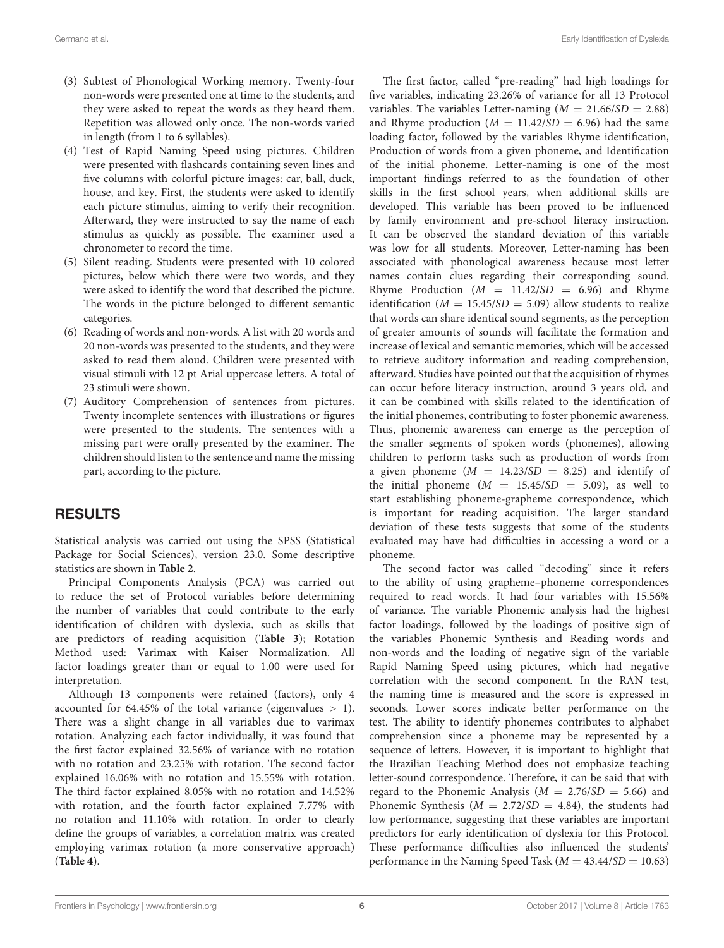- (3) Subtest of Phonological Working memory. Twenty-four non-words were presented one at time to the students, and they were asked to repeat the words as they heard them. Repetition was allowed only once. The non-words varied in length (from 1 to 6 syllables).
- (4) Test of Rapid Naming Speed using pictures. Children were presented with flashcards containing seven lines and five columns with colorful picture images: car, ball, duck, house, and key. First, the students were asked to identify each picture stimulus, aiming to verify their recognition. Afterward, they were instructed to say the name of each stimulus as quickly as possible. The examiner used a chronometer to record the time.
- (5) Silent reading. Students were presented with 10 colored pictures, below which there were two words, and they were asked to identify the word that described the picture. The words in the picture belonged to different semantic categories.
- (6) Reading of words and non-words. A list with 20 words and 20 non-words was presented to the students, and they were asked to read them aloud. Children were presented with visual stimuli with 12 pt Arial uppercase letters. A total of 23 stimuli were shown.
- (7) Auditory Comprehension of sentences from pictures. Twenty incomplete sentences with illustrations or figures were presented to the students. The sentences with a missing part were orally presented by the examiner. The children should listen to the sentence and name the missing part, according to the picture.

## RESULTS

Statistical analysis was carried out using the SPSS (Statistical Package for Social Sciences), version 23.0. Some descriptive statistics are shown in **[Table 2](#page-6-0)**.

Principal Components Analysis (PCA) was carried out to reduce the set of Protocol variables before determining the number of variables that could contribute to the early identification of children with dyslexia, such as skills that are predictors of reading acquisition (**[Table 3](#page-6-1)**); Rotation Method used: Varimax with Kaiser Normalization. All factor loadings greater than or equal to 1.00 were used for interpretation.

Although 13 components were retained (factors), only 4 accounted for 64.45% of the total variance (eigenvalues > 1). There was a slight change in all variables due to varimax rotation. Analyzing each factor individually, it was found that the first factor explained 32.56% of variance with no rotation with no rotation and 23.25% with rotation. The second factor explained 16.06% with no rotation and 15.55% with rotation. The third factor explained 8.05% with no rotation and 14.52% with rotation, and the fourth factor explained 7.77% with no rotation and 11.10% with rotation. In order to clearly define the groups of variables, a correlation matrix was created employing varimax rotation (a more conservative approach) (**[Table 4](#page-7-0)**).

The first factor, called "pre-reading" had high loadings for five variables, indicating 23.26% of variance for all 13 Protocol variables. The variables Letter-naming  $(M = 21.66/SD = 2.88)$ and Rhyme production  $(M = 11.42/SD = 6.96)$  had the same loading factor, followed by the variables Rhyme identification, Production of words from a given phoneme, and Identification of the initial phoneme. Letter-naming is one of the most important findings referred to as the foundation of other skills in the first school years, when additional skills are developed. This variable has been proved to be influenced by family environment and pre-school literacy instruction. It can be observed the standard deviation of this variable was low for all students. Moreover, Letter-naming has been associated with phonological awareness because most letter names contain clues regarding their corresponding sound. Rhyme Production  $(M = 11.42/SD = 6.96)$  and Rhyme identification ( $M = 15.45/SD = 5.09$ ) allow students to realize that words can share identical sound segments, as the perception of greater amounts of sounds will facilitate the formation and increase of lexical and semantic memories, which will be accessed to retrieve auditory information and reading comprehension, afterward. Studies have pointed out that the acquisition of rhymes can occur before literacy instruction, around 3 years old, and it can be combined with skills related to the identification of the initial phonemes, contributing to foster phonemic awareness. Thus, phonemic awareness can emerge as the perception of the smaller segments of spoken words (phonemes), allowing children to perform tasks such as production of words from a given phoneme  $(M = 14.23/SD = 8.25)$  and identify of the initial phoneme  $(M = 15.45/SD = 5.09)$ , as well to start establishing phoneme-grapheme correspondence, which is important for reading acquisition. The larger standard deviation of these tests suggests that some of the students evaluated may have had difficulties in accessing a word or a phoneme.

The second factor was called "decoding" since it refers to the ability of using grapheme–phoneme correspondences required to read words. It had four variables with 15.56% of variance. The variable Phonemic analysis had the highest factor loadings, followed by the loadings of positive sign of the variables Phonemic Synthesis and Reading words and non-words and the loading of negative sign of the variable Rapid Naming Speed using pictures, which had negative correlation with the second component. In the RAN test, the naming time is measured and the score is expressed in seconds. Lower scores indicate better performance on the test. The ability to identify phonemes contributes to alphabet comprehension since a phoneme may be represented by a sequence of letters. However, it is important to highlight that the Brazilian Teaching Method does not emphasize teaching letter-sound correspondence. Therefore, it can be said that with regard to the Phonemic Analysis ( $M = 2.76/SD = 5.66$ ) and Phonemic Synthesis ( $M = 2.72/SD = 4.84$ ), the students had low performance, suggesting that these variables are important predictors for early identification of dyslexia for this Protocol. These performance difficulties also influenced the students' performance in the Naming Speed Task ( $M = 43.44/SD = 10.63$ )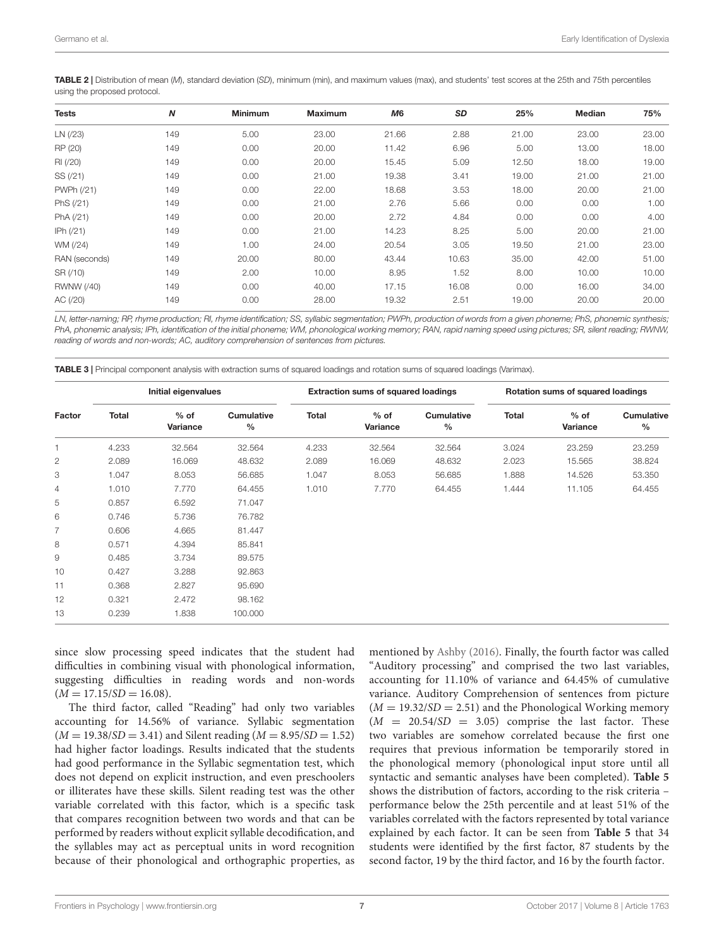<span id="page-6-0"></span>TABLE 2 | Distribution of mean (M), standard deviation (SD), minimum (min), and maximum values (max), and students' test scores at the 25th and 75th percentiles using the proposed protocol.

| <b>Tests</b>  | N   | <b>Minimum</b> | <b>Maximum</b> | M6    | SD    | 25%   | Median | 75%   |
|---------------|-----|----------------|----------------|-------|-------|-------|--------|-------|
| LN(23)        | 149 | 5.00           | 23.00          | 21.66 | 2.88  | 21.00 | 23.00  | 23.00 |
| RP (20)       | 149 | 0.00           | 20.00          | 11.42 | 6.96  | 5.00  | 13.00  | 18.00 |
| RI (/20)      | 149 | 0.00           | 20.00          | 15.45 | 5.09  | 12.50 | 18.00  | 19.00 |
| SS (/21)      | 149 | 0.00           | 21.00          | 19.38 | 3.41  | 19.00 | 21.00  | 21.00 |
| PWPh (/21)    | 149 | 0.00           | 22.00          | 18.68 | 3.53  | 18.00 | 20.00  | 21.00 |
| PhS (/21)     | 149 | 0.00           | 21.00          | 2.76  | 5.66  | 0.00  | 0.00   | 1.00  |
| PhA (/21)     | 149 | 0.00           | 20.00          | 2.72  | 4.84  | 0.00  | 0.00   | 4.00  |
| IPh (/21)     | 149 | 0.00           | 21.00          | 14.23 | 8.25  | 5.00  | 20.00  | 21.00 |
| WM (/24)      | 149 | 1.00           | 24.00          | 20.54 | 3.05  | 19.50 | 21.00  | 23.00 |
| RAN (seconds) | 149 | 20.00          | 80.00          | 43.44 | 10.63 | 35.00 | 42.00  | 51.00 |
| SR (/10)      | 149 | 2.00           | 10.00          | 8.95  | 1.52  | 8.00  | 10.00  | 10.00 |
| RWNW (/40)    | 149 | 0.00           | 40.00          | 17.15 | 16.08 | 0.00  | 16.00  | 34.00 |
| AC (/20)      | 149 | 0.00           | 28.00          | 19.32 | 2.51  | 19.00 | 20.00  | 20.00 |
|               |     |                |                |       |       |       |        |       |

LN, letter-naming; RP, rhyme production; RI, rhyme identification; SS, syllabic segmentation; PWPh, production of words from a given phoneme; PhS, phonemic synthesis; PhA, phonemic analysis; IPh, identification of the initial phoneme; WM, phonological working memory; RAN, rapid naming speed using pictures; SR, silent reading; RWNW, reading of words and non-words; AC, auditory comprehension of sentences from pictures.

<span id="page-6-1"></span>TABLE 3 | Principal component analysis with extraction sums of squared loadings and rotation sums of squared loadings (Varimax).

|              | Initial eigenvalues |                    |                           |              | <b>Extraction sums of squared loadings</b> |                                    | Rotation sums of squared loadings |                    |                           |  |
|--------------|---------------------|--------------------|---------------------------|--------------|--------------------------------------------|------------------------------------|-----------------------------------|--------------------|---------------------------|--|
| Factor       | Total               | $%$ of<br>Variance | <b>Cumulative</b><br>$\%$ | <b>Total</b> | $%$ of<br>Variance                         | <b>Cumulative</b><br>$\frac{0}{0}$ | <b>Total</b>                      | $%$ of<br>Variance | <b>Cumulative</b><br>$\%$ |  |
|              | 4.233               | 32.564             | 32.564                    | 4.233        | 32.564                                     | 32.564                             | 3.024                             | 23.259             | 23.259                    |  |
| $\mathbf{2}$ | 2.089               | 16.069             | 48.632                    | 2.089        | 16.069                                     | 48.632                             | 2.023                             | 15.565             | 38.824                    |  |
| 3            | 1.047               | 8.053              | 56.685                    | 1.047        | 8.053                                      | 56.685                             | 1.888                             | 14.526             | 53.350                    |  |
| 4            | 1.010               | 7.770              | 64.455                    | 1.010        | 7.770                                      | 64.455                             | 1.444                             | 11.105             | 64.455                    |  |
| 5            | 0.857               | 6.592              | 71.047                    |              |                                            |                                    |                                   |                    |                           |  |
| 6            | 0.746               | 5.736              | 76.782                    |              |                                            |                                    |                                   |                    |                           |  |
| 7            | 0.606               | 4.665              | 81.447                    |              |                                            |                                    |                                   |                    |                           |  |
| 8            | 0.571               | 4.394              | 85.841                    |              |                                            |                                    |                                   |                    |                           |  |
| 9            | 0.485               | 3.734              | 89.575                    |              |                                            |                                    |                                   |                    |                           |  |
| 10           | 0.427               | 3.288              | 92.863                    |              |                                            |                                    |                                   |                    |                           |  |
| 11           | 0.368               | 2.827              | 95.690                    |              |                                            |                                    |                                   |                    |                           |  |
| 12           | 0.321               | 2.472              | 98.162                    |              |                                            |                                    |                                   |                    |                           |  |
| 13           | 0.239               | 1.838              | 100.000                   |              |                                            |                                    |                                   |                    |                           |  |

since slow processing speed indicates that the student had difficulties in combining visual with phonological information, suggesting difficulties in reading words and non-words  $(M = 17.15/SD = 16.08).$ 

The third factor, called "Reading" had only two variables accounting for 14.56% of variance. Syllabic segmentation  $(M = 19.38/SD = 3.41)$  and Silent reading  $(M = 8.95/SD = 1.52)$ had higher factor loadings. Results indicated that the students had good performance in the Syllabic segmentation test, which does not depend on explicit instruction, and even preschoolers or illiterates have these skills. Silent reading test was the other variable correlated with this factor, which is a specific task that compares recognition between two words and that can be performed by readers without explicit syllable decodification, and the syllables may act as perceptual units in word recognition because of their phonological and orthographic properties, as

mentioned by [Ashby](#page-10-10) [\(2016\)](#page-10-10). Finally, the fourth factor was called "Auditory processing" and comprised the two last variables, accounting for 11.10% of variance and 64.45% of cumulative variance. Auditory Comprehension of sentences from picture  $(M = 19.32/SD = 2.51)$  and the Phonological Working memory  $(M = 20.54/SD = 3.05)$  comprise the last factor. These two variables are somehow correlated because the first one requires that previous information be temporarily stored in the phonological memory (phonological input store until all syntactic and semantic analyses have been completed). **[Table 5](#page-7-1)** shows the distribution of factors, according to the risk criteria – performance below the 25th percentile and at least 51% of the variables correlated with the factors represented by total variance explained by each factor. It can be seen from **[Table 5](#page-7-1)** that 34 students were identified by the first factor, 87 students by the second factor, 19 by the third factor, and 16 by the fourth factor.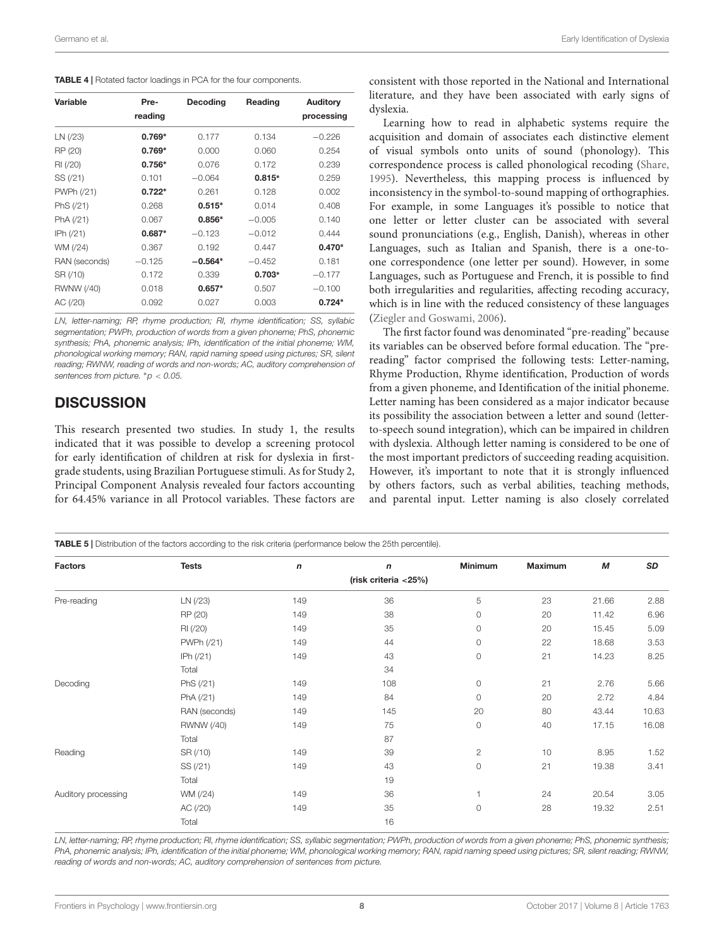<span id="page-7-0"></span>

|  | <b>TABLE 4</b>   Rotated factor loadings in PCA for the four components. |  |  |  |  |  |  |  |  |
|--|--------------------------------------------------------------------------|--|--|--|--|--|--|--|--|
|--|--------------------------------------------------------------------------|--|--|--|--|--|--|--|--|

| Variable      | Pre-<br>reading | Decoding  | Reading  | Auditory<br>processing |
|---------------|-----------------|-----------|----------|------------------------|
| LN (/23)      | $0.769*$        | 0.177     | 0.134    | $-0.226$               |
| RP (20)       | $0.769*$        | 0.000     | 0.060    | 0.254                  |
| RI (/20)      | $0.756*$        | 0.076     | 0.172    | 0.239                  |
| SS (/21)      | 0.101           | $-0.064$  | $0.815*$ | 0.259                  |
| PWPh (/21)    | $0.722*$        | 0.261     | 0.128    | 0.002                  |
| PhS (/21)     | 0.268           | $0.515*$  | 0.014    | 0.408                  |
| PhA (/21)     | 0.067           | $0.856*$  | $-0.005$ | 0.140                  |
| IPh $(21)$    | $0.687*$        | $-0.123$  | $-0.012$ | 0.444                  |
| WM (/24)      | 0.367           | 0.192     | 0.447    | $0.470*$               |
| RAN (seconds) | $-0.125$        | $-0.564*$ | $-0.452$ | 0.181                  |
| SR (/10)      | 0.172           | 0.339     | $0.703*$ | $-0.177$               |
| RWNW (/40)    | 0.018           | $0.657*$  | 0.507    | $-0.100$               |
| AC (/20)      | 0.092           | 0.027     | 0.003    | $0.724*$               |
|               |                 |           |          |                        |

LN, letter-naming; RP, rhyme production; RI, rhyme identification; SS, syllabic segmentation; PWPh, production of words from a given phoneme; PhS, phonemic synthesis; PhA, phonemic analysis; IPh, identification of the initial phoneme; WM, phonological working memory; RAN, rapid naming speed using pictures; SR, silent reading; RWNW, reading of words and non-words; AC, auditory comprehension of sentences from picture.  $p < 0.05$ .

## **DISCUSSION**

This research presented two studies. In study 1, the results indicated that it was possible to develop a screening protocol for early identification of children at risk for dyslexia in firstgrade students, using Brazilian Portuguese stimuli. As for Study 2, Principal Component Analysis revealed four factors accounting for 64.45% variance in all Protocol variables. These factors are

<span id="page-7-1"></span>TABLE 5 | Distribution of the factors according to the risk criteria (performance below the 25th percentile).

consistent with those reported in the National and International literature, and they have been associated with early signs of dyslexia.

Learning how to read in alphabetic systems require the acquisition and domain of associates each distinctive element of visual symbols onto units of sound (phonology). This correspondence process is called phonological recoding [\(Share,](#page-12-20) [1995\)](#page-12-20). Nevertheless, this mapping process is influenced by inconsistency in the symbol-to-sound mapping of orthographies. For example, in some Languages it's possible to notice that one letter or letter cluster can be associated with several sound pronunciations (e.g., English, Danish), whereas in other Languages, such as Italian and Spanish, there is a one-toone correspondence (one letter per sound). However, in some Languages, such as Portuguese and French, it is possible to find both irregularities and regularities, affecting recoding accuracy, which is in line with the reduced consistency of these languages [\(Ziegler and Goswami,](#page-12-21) [2006\)](#page-12-21).

The first factor found was denominated "pre-reading" because its variables can be observed before formal education. The "prereading" factor comprised the following tests: Letter-naming, Rhyme Production, Rhyme identification, Production of words from a given phoneme, and Identification of the initial phoneme. Letter naming has been considered as a major indicator because its possibility the association between a letter and sound (letterto-speech sound integration), which can be impaired in children with dyslexia. Although letter naming is considered to be one of the most important predictors of succeeding reading acquisition. However, it's important to note that it is strongly influenced by others factors, such as verbal abilities, teaching methods, and parental input. Letter naming is also closely correlated

| <b>Factors</b>      | <b>Tests</b>  | $\boldsymbol{n}$ | $\boldsymbol{n}$        | <b>Minimum</b> | <b>Maximum</b> | М     | SD    |
|---------------------|---------------|------------------|-------------------------|----------------|----------------|-------|-------|
|                     |               |                  | (risk criteria $<$ 25%) |                |                |       |       |
| Pre-reading         | LN (/23)      | 149              | 36                      | 5              | 23             | 21.66 | 2.88  |
|                     | RP (20)       | 149              | 38                      | $\circ$        | 20             | 11.42 | 6.96  |
|                     | RI (/20)      | 149              | 35                      | $\circ$        | 20             | 15.45 | 5.09  |
|                     | PWPh (/21)    | 149              | 44                      | $\circ$        | 22             | 18.68 | 3.53  |
|                     | IPh $(21)$    | 149              | 43                      | $\circ$        | 21             | 14.23 | 8.25  |
|                     | Total         |                  | 34                      |                |                |       |       |
| Decoding            | PhS (/21)     | 149              | 108                     | $\circ$        | 21             | 2.76  | 5.66  |
|                     | PhA (/21)     | 149              | 84                      | $\circ$        | 20             | 2.72  | 4.84  |
|                     | RAN (seconds) | 149              | 145                     | 20             | 80             | 43.44 | 10.63 |
|                     | RWNW (/40)    | 149              | 75                      | $\circ$        | 40             | 17.15 | 16.08 |
|                     | Total         |                  | 87                      |                |                |       |       |
| Reading             | SR (/10)      | 149              | 39                      | $\overline{c}$ | 10             | 8.95  | 1.52  |
|                     | SS (/21)      | 149              | 43                      | $\circ$        | 21             | 19.38 | 3.41  |
|                     | Total         |                  | 19                      |                |                |       |       |
| Auditory processing | WM (/24)      | 149              | 36                      | $\overline{1}$ | 24             | 20.54 | 3.05  |
|                     | AC (/20)      | 149              | 35                      | $\circ$        | 28             | 19.32 | 2.51  |
|                     | Total         |                  | 16                      |                |                |       |       |

LN, letter-naming; RP, rhyme production; RI, rhyme identification; SS, syllabic segmentation; PWPh, production of words from a given phoneme; PhS, phonemic synthesis; PhA, phonemic analysis; IPh, identification of the initial phoneme; WM, phonological working memory; RAN, rapid naming speed using pictures; SR, silent reading; RWNW, reading of words and non-words; AC, auditory comprehension of sentences from picture.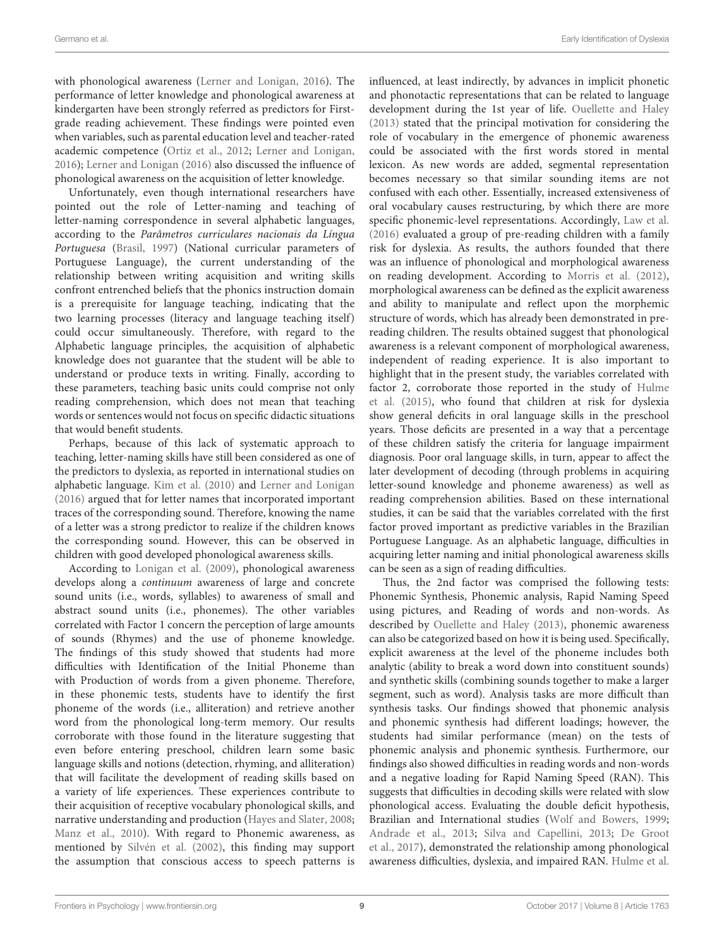with phonological awareness [\(Lerner and Lonigan,](#page-12-27) [2016\)](#page-12-27). The performance of letter knowledge and phonological awareness at kindergarten have been strongly referred as predictors for Firstgrade reading achievement. These findings were pointed even when variables, such as parental education level and teacher-rated academic competence [\(Ortiz et al.,](#page-12-28) [2012;](#page-12-28) [Lerner and Lonigan,](#page-12-27) [2016\)](#page-12-27); [Lerner and Lonigan](#page-12-27) [\(2016\)](#page-12-27) also discussed the influence of phonological awareness on the acquisition of letter knowledge.

Unfortunately, even though international researchers have pointed out the role of Letter-naming and teaching of letter-naming correspondence in several alphabetic languages, according to the Parâmetros curriculares nacionais da Língua Portuguesa [\(Brasil,](#page-10-11) [1997\)](#page-10-11) (National curricular parameters of Portuguese Language), the current understanding of the relationship between writing acquisition and writing skills confront entrenched beliefs that the phonics instruction domain is a prerequisite for language teaching, indicating that the two learning processes (literacy and language teaching itself) could occur simultaneously. Therefore, with regard to the Alphabetic language principles, the acquisition of alphabetic knowledge does not guarantee that the student will be able to understand or produce texts in writing. Finally, according to these parameters, teaching basic units could comprise not only reading comprehension, which does not mean that teaching words or sentences would not focus on specific didactic situations that would benefit students.

Perhaps, because of this lack of systematic approach to teaching, letter-naming skills have still been considered as one of the predictors to dyslexia, as reported in international studies on alphabetic language. [Kim et al.](#page-11-39) [\(2010\)](#page-11-39) and [Lerner and Lonigan](#page-12-27) [\(2016\)](#page-12-27) argued that for letter names that incorporated important traces of the corresponding sound. Therefore, knowing the name of a letter was a strong predictor to realize if the children knows the corresponding sound. However, this can be observed in children with good developed phonological awareness skills.

According to [Lonigan et al.](#page-12-29) [\(2009\)](#page-12-29), phonological awareness develops along a continuum awareness of large and concrete sound units (i.e., words, syllables) to awareness of small and abstract sound units (i.e., phonemes). The other variables correlated with Factor 1 concern the perception of large amounts of sounds (Rhymes) and the use of phoneme knowledge. The findings of this study showed that students had more difficulties with Identification of the Initial Phoneme than with Production of words from a given phoneme. Therefore, in these phonemic tests, students have to identify the first phoneme of the words (i.e., alliteration) and retrieve another word from the phonological long-term memory. Our results corroborate with those found in the literature suggesting that even before entering preschool, children learn some basic language skills and notions (detection, rhyming, and alliteration) that will facilitate the development of reading skills based on a variety of life experiences. These experiences contribute to their acquisition of receptive vocabulary phonological skills, and narrative understanding and production [\(Hayes and Slater,](#page-11-11) [2008;](#page-11-11) [Manz et al.,](#page-12-6) [2010\)](#page-12-6). With regard to Phonemic awareness, as mentioned by [Silvén et al.](#page-12-30) [\(2002\)](#page-12-30), this finding may support the assumption that conscious access to speech patterns is

influenced, at least indirectly, by advances in implicit phonetic and phonotactic representations that can be related to language development during the 1st year of life. [Ouellette and Haley](#page-12-31) [\(2013\)](#page-12-31) stated that the principal motivation for considering the role of vocabulary in the emergence of phonemic awareness could be associated with the first words stored in mental lexicon. As new words are added, segmental representation becomes necessary so that similar sounding items are not confused with each other. Essentially, increased extensiveness of oral vocabulary causes restructuring, by which there are more specific phonemic-level representations. Accordingly, [Law et al.](#page-12-32) [\(2016\)](#page-12-32) evaluated a group of pre-reading children with a family risk for dyslexia. As results, the authors founded that there was an influence of phonological and morphological awareness on reading development. According to [Morris et al.](#page-12-33) [\(2012\)](#page-12-33), morphological awareness can be defined as the explicit awareness and ability to manipulate and reflect upon the morphemic structure of words, which has already been demonstrated in prereading children. The results obtained suggest that phonological awareness is a relevant component of morphological awareness, independent of reading experience. It is also important to highlight that in the present study, the variables correlated with factor 2, corroborate those reported in the study of [Hulme](#page-11-0) [et al.](#page-11-0) [\(2015\)](#page-11-0), who found that children at risk for dyslexia show general deficits in oral language skills in the preschool years. Those deficits are presented in a way that a percentage of these children satisfy the criteria for language impairment diagnosis. Poor oral language skills, in turn, appear to affect the later development of decoding (through problems in acquiring letter-sound knowledge and phoneme awareness) as well as reading comprehension abilities. Based on these international studies, it can be said that the variables correlated with the first factor proved important as predictive variables in the Brazilian Portuguese Language. As an alphabetic language, difficulties in acquiring letter naming and initial phonological awareness skills can be seen as a sign of reading difficulties.

Thus, the 2nd factor was comprised the following tests: Phonemic Synthesis, Phonemic analysis, Rapid Naming Speed using pictures, and Reading of words and non-words. As described by [Ouellette and Haley](#page-12-31) [\(2013\)](#page-12-31), phonemic awareness can also be categorized based on how it is being used. Specifically, explicit awareness at the level of the phoneme includes both analytic (ability to break a word down into constituent sounds) and synthetic skills (combining sounds together to make a larger segment, such as word). Analysis tasks are more difficult than synthesis tasks. Our findings showed that phonemic analysis and phonemic synthesis had different loadings; however, the students had similar performance (mean) on the tests of phonemic analysis and phonemic synthesis. Furthermore, our findings also showed difficulties in reading words and non-words and a negative loading for Rapid Naming Speed (RAN). This suggests that difficulties in decoding skills were related with slow phonological access. Evaluating the double deficit hypothesis, Brazilian and International studies [\(Wolf and Bowers,](#page-12-22) [1999;](#page-12-22) [Andrade et al.,](#page-10-12) [2013;](#page-10-12) [Silva and Capellini,](#page-12-34) [2013;](#page-12-34) [De Groot](#page-11-40) [et al.,](#page-11-40) [2017\)](#page-11-40), demonstrated the relationship among phonological awareness difficulties, dyslexia, and impaired RAN. [Hulme et al.](#page-11-0)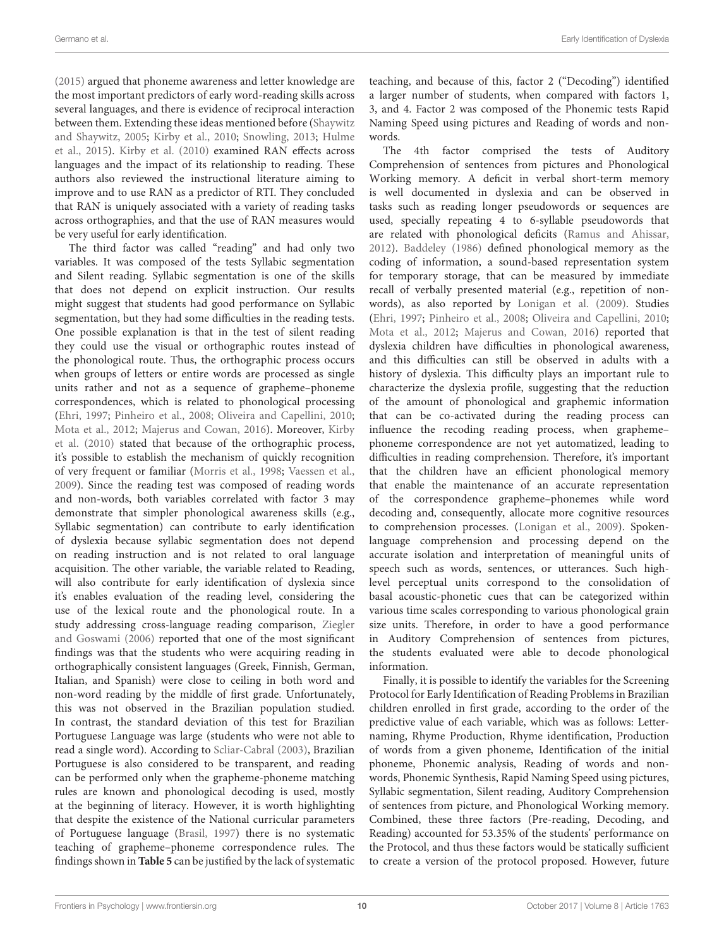[\(2015\)](#page-11-0) argued that phoneme awareness and letter knowledge are the most important predictors of early word-reading skills across several languages, and there is evidence of reciprocal interaction between them. Extending these ideas mentioned before [\(Shaywitz](#page-12-0) [and Shaywitz,](#page-12-0) [2005;](#page-12-0) [Kirby et al.,](#page-12-1) [2010;](#page-12-1) [Snowling,](#page-12-2) [2013;](#page-12-2) [Hulme](#page-11-0) [et al.,](#page-11-0) [2015\)](#page-11-0). [Kirby et al.](#page-12-1) [\(2010\)](#page-12-1) examined RAN effects across languages and the impact of its relationship to reading. These authors also reviewed the instructional literature aiming to improve and to use RAN as a predictor of RTI. They concluded that RAN is uniquely associated with a variety of reading tasks across orthographies, and that the use of RAN measures would be very useful for early identification.

The third factor was called "reading" and had only two variables. It was composed of the tests Syllabic segmentation and Silent reading. Syllabic segmentation is one of the skills that does not depend on explicit instruction. Our results might suggest that students had good performance on Syllabic segmentation, but they had some difficulties in the reading tests. One possible explanation is that in the test of silent reading they could use the visual or orthographic routes instead of the phonological route. Thus, the orthographic process occurs when groups of letters or entire words are processed as single units rather and not as a sequence of grapheme–phoneme correspondences, which is related to phonological processing [\(Ehri,](#page-11-41) [1997;](#page-11-41) [Pinheiro et al.,](#page-12-4) [2008;](#page-12-4) [Oliveira and Capellini,](#page-12-9) [2010;](#page-12-9) [Mota et al.,](#page-12-10) [2012;](#page-12-10) [Majerus and Cowan,](#page-12-35) [2016\)](#page-12-35). Moreover, [Kirby](#page-12-1) [et al.](#page-12-1) [\(2010\)](#page-12-1) stated that because of the orthographic process, it's possible to establish the mechanism of quickly recognition of very frequent or familiar [\(Morris et al.,](#page-12-15) [1998;](#page-12-15) [Vaessen et al.,](#page-12-16) [2009\)](#page-12-16). Since the reading test was composed of reading words and non-words, both variables correlated with factor 3 may demonstrate that simpler phonological awareness skills (e.g., Syllabic segmentation) can contribute to early identification of dyslexia because syllabic segmentation does not depend on reading instruction and is not related to oral language acquisition. The other variable, the variable related to Reading, will also contribute for early identification of dyslexia since it's enables evaluation of the reading level, considering the use of the lexical route and the phonological route. In a study addressing cross-language reading comparison, [Ziegler](#page-12-21) [and Goswami](#page-12-21) [\(2006\)](#page-12-21) reported that one of the most significant findings was that the students who were acquiring reading in orthographically consistent languages (Greek, Finnish, German, Italian, and Spanish) were close to ceiling in both word and non-word reading by the middle of first grade. Unfortunately, this was not observed in the Brazilian population studied. In contrast, the standard deviation of this test for Brazilian Portuguese Language was large (students who were not able to read a single word). According to [Scliar-Cabral](#page-12-5) [\(2003\)](#page-12-5), Brazilian Portuguese is also considered to be transparent, and reading can be performed only when the grapheme-phoneme matching rules are known and phonological decoding is used, mostly at the beginning of literacy. However, it is worth highlighting that despite the existence of the National curricular parameters of Portuguese language [\(Brasil,](#page-10-11) [1997\)](#page-10-11) there is no systematic teaching of grapheme–phoneme correspondence rules. The findings shown in **[Table 5](#page-7-1)** can be justified by the lack of systematic

teaching, and because of this, factor 2 ("Decoding") identified a larger number of students, when compared with factors 1, 3, and 4. Factor 2 was composed of the Phonemic tests Rapid Naming Speed using pictures and Reading of words and nonwords.

The 4th factor comprised the tests of Auditory Comprehension of sentences from pictures and Phonological Working memory. A deficit in verbal short-term memory is well documented in dyslexia and can be observed in tasks such as reading longer pseudowords or sequences are used, specially repeating 4 to 6-syllable pseudowords that are related with phonological deficits [\(Ramus and Ahissar,](#page-12-36) [2012\)](#page-12-36). [Baddeley](#page-10-9) [\(1986\)](#page-10-9) defined phonological memory as the coding of information, a sound-based representation system for temporary storage, that can be measured by immediate recall of verbally presented material (e.g., repetition of nonwords), as also reported by [Lonigan et al.](#page-12-29) [\(2009\)](#page-12-29). Studies [\(Ehri,](#page-11-41) [1997;](#page-11-41) [Pinheiro et al.,](#page-12-4) [2008;](#page-12-4) [Oliveira and Capellini,](#page-12-9) [2010;](#page-12-9) [Mota et al.,](#page-12-10) [2012;](#page-12-10) [Majerus and Cowan,](#page-12-35) [2016\)](#page-12-35) reported that dyslexia children have difficulties in phonological awareness, and this difficulties can still be observed in adults with a history of dyslexia. This difficulty plays an important rule to characterize the dyslexia profile, suggesting that the reduction of the amount of phonological and graphemic information that can be co-activated during the reading process can influence the recoding reading process, when grapheme– phoneme correspondence are not yet automatized, leading to difficulties in reading comprehension. Therefore, it's important that the children have an efficient phonological memory that enable the maintenance of an accurate representation of the correspondence grapheme–phonemes while word decoding and, consequently, allocate more cognitive resources to comprehension processes. [\(Lonigan et al.,](#page-12-29) [2009\)](#page-12-29). Spokenlanguage comprehension and processing depend on the accurate isolation and interpretation of meaningful units of speech such as words, sentences, or utterances. Such highlevel perceptual units correspond to the consolidation of basal acoustic-phonetic cues that can be categorized within various time scales corresponding to various phonological grain size units. Therefore, in order to have a good performance in Auditory Comprehension of sentences from pictures, the students evaluated were able to decode phonological information.

Finally, it is possible to identify the variables for the Screening Protocol for Early Identification of Reading Problems in Brazilian children enrolled in first grade, according to the order of the predictive value of each variable, which was as follows: Letternaming, Rhyme Production, Rhyme identification, Production of words from a given phoneme, Identification of the initial phoneme, Phonemic analysis, Reading of words and nonwords, Phonemic Synthesis, Rapid Naming Speed using pictures, Syllabic segmentation, Silent reading, Auditory Comprehension of sentences from picture, and Phonological Working memory. Combined, these three factors (Pre-reading, Decoding, and Reading) accounted for 53.35% of the students' performance on the Protocol, and thus these factors would be statically sufficient to create a version of the protocol proposed. However, future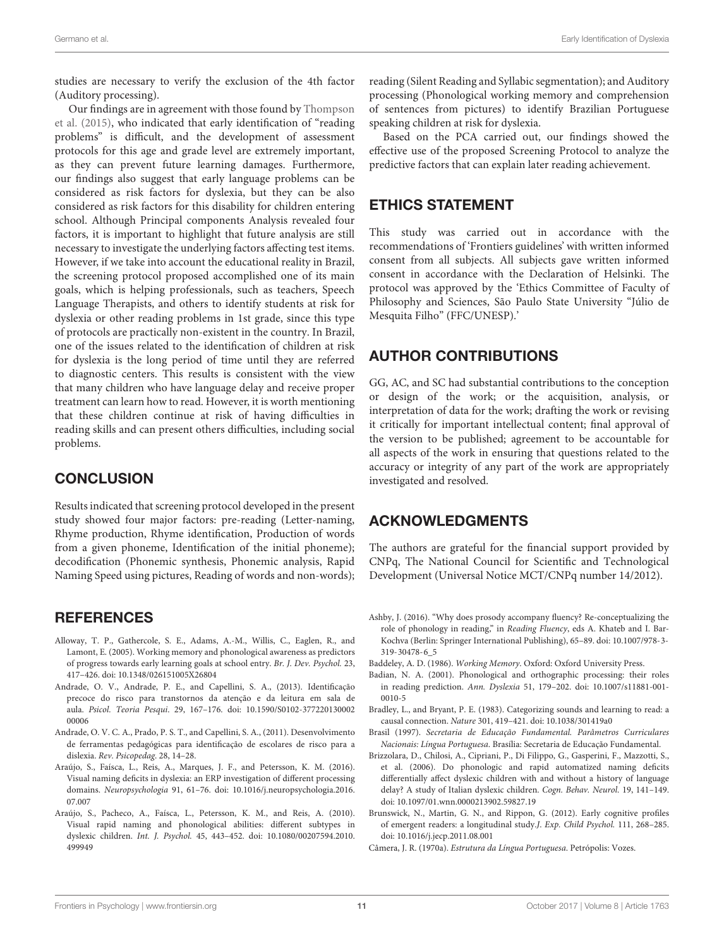studies are necessary to verify the exclusion of the 4th factor (Auditory processing).

Our findings are in agreement with those found by [Thompson](#page-12-3) [et al.](#page-12-3) [\(2015\)](#page-12-3), who indicated that early identification of "reading problems" is difficult, and the development of assessment protocols for this age and grade level are extremely important, as they can prevent future learning damages. Furthermore, our findings also suggest that early language problems can be considered as risk factors for dyslexia, but they can be also considered as risk factors for this disability for children entering school. Although Principal components Analysis revealed four factors, it is important to highlight that future analysis are still necessary to investigate the underlying factors affecting test items. However, if we take into account the educational reality in Brazil, the screening protocol proposed accomplished one of its main goals, which is helping professionals, such as teachers, Speech Language Therapists, and others to identify students at risk for dyslexia or other reading problems in 1st grade, since this type of protocols are practically non-existent in the country. In Brazil, one of the issues related to the identification of children at risk for dyslexia is the long period of time until they are referred to diagnostic centers. This results is consistent with the view that many children who have language delay and receive proper treatment can learn how to read. However, it is worth mentioning that these children continue at risk of having difficulties in reading skills and can present others difficulties, including social problems.

## **CONCLUSION**

Results indicated that screening protocol developed in the present study showed four major factors: pre-reading (Letter-naming, Rhyme production, Rhyme identification, Production of words from a given phoneme, Identification of the initial phoneme); decodification (Phonemic synthesis, Phonemic analysis, Rapid Naming Speed using pictures, Reading of words and non-words);

#### **REFERENCES**

- <span id="page-10-2"></span>Alloway, T. P., Gathercole, S. E., Adams, A.-M., Willis, C., Eaglen, R., and Lamont, E. (2005). Working memory and phonological awareness as predictors of progress towards early learning goals at school entry. Br. J. Dev. Psychol. 23, 417–426. [doi: 10.1348/026151005X26804](https://doi.org/10.1348/026151005X26804)
- <span id="page-10-12"></span>Andrade, O. V., Andrade, P. E., and Capellini, S. A., (2013). Identificação precoce do risco para transtornos da atenção e da leitura em sala de aula. Psicol. Teoria Pesqui. 29, 167–176. [doi: 10.1590/S0102-377220130002](https://doi.org/10.1590/S0102-37722013000200006) [00006](https://doi.org/10.1590/S0102-37722013000200006)
- <span id="page-10-0"></span>Andrade, O. V. C. A., Prado, P. S. T., and Capellini, S. A., (2011). Desenvolvimento de ferramentas pedagógicas para identificação de escolares de risco para a dislexia. Rev. Psicopedag. 28, 14–28.
- <span id="page-10-3"></span>Araújo, S., Faísca, L., Reis, A., Marques, J. F., and Petersson, K. M. (2016). Visual naming deficits in dyslexia: an ERP investigation of different processing domains. Neuropsychologia 91, 61–76. [doi: 10.1016/j.neuropsychologia.2016.](https://doi.org/10.1016/j.neuropsychologia.2016.07.007) [07.007](https://doi.org/10.1016/j.neuropsychologia.2016.07.007)
- <span id="page-10-5"></span>Araújo, S., Pacheco, A., Faísca, L., Petersson, K. M., and Reis, A. (2010). Visual rapid naming and phonological abilities: different subtypes in dyslexic children. Int. J. Psychol. 45, 443–452. [doi: 10.1080/00207594.2010.](https://doi.org/10.1080/00207594.2010.499949) [499949](https://doi.org/10.1080/00207594.2010.499949)

reading (Silent Reading and Syllabic segmentation); and Auditory processing (Phonological working memory and comprehension of sentences from pictures) to identify Brazilian Portuguese speaking children at risk for dyslexia.

Based on the PCA carried out, our findings showed the effective use of the proposed Screening Protocol to analyze the predictive factors that can explain later reading achievement.

#### ETHICS STATEMENT

This study was carried out in accordance with the recommendations of 'Frontiers guidelines' with written informed consent from all subjects. All subjects gave written informed consent in accordance with the Declaration of Helsinki. The protocol was approved by the 'Ethics Committee of Faculty of Philosophy and Sciences, São Paulo State University "Júlio de Mesquita Filho" (FFC/UNESP).'

#### AUTHOR CONTRIBUTIONS

GG, AC, and SC had substantial contributions to the conception or design of the work; or the acquisition, analysis, or interpretation of data for the work; drafting the work or revising it critically for important intellectual content; final approval of the version to be published; agreement to be accountable for all aspects of the work in ensuring that questions related to the accuracy or integrity of any part of the work are appropriately investigated and resolved.

## ACKNOWLEDGMENTS

The authors are grateful for the financial support provided by CNPq, The National Council for Scientific and Technological Development (Universal Notice MCT/CNPq number 14/2012).

- <span id="page-10-10"></span>Ashby, J. (2016). "Why does prosody accompany fluency? Re-conceptualizing the role of phonology in reading," in Reading Fluency, eds A. Khateb and I. Bar-Kochva (Berlin: Springer International Publishing), 65–89. [doi: 10.1007/978-3-](https://doi.org/10.1007/978-3-319-30478-6_5) [319-30478-6\\_5](https://doi.org/10.1007/978-3-319-30478-6_5)
- <span id="page-10-9"></span>Baddeley, A. D. (1986). Working Memory. Oxford: Oxford University Press.
- <span id="page-10-8"></span>Badian, N. A. (2001). Phonological and orthographic processing: their roles in reading prediction. Ann. Dyslexia 51, 179–202. [doi: 10.1007/s11881-001-](https://doi.org/10.1007/s11881-001-0010-5) [0010-5](https://doi.org/10.1007/s11881-001-0010-5)
- <span id="page-10-1"></span>Bradley, L., and Bryant, P. E. (1983). Categorizing sounds and learning to read: a causal connection. Nature 301, 419–421. [doi: 10.1038/301419a0](https://doi.org/10.1038/301419a0)
- <span id="page-10-11"></span>Brasil (1997). Secretaria de Educação Fundamental. Parâmetros Curriculares Nacionais: Língua Portuguesa. Brasília: Secretaria de Educação Fundamental.
- <span id="page-10-4"></span>Brizzolara, D., Chilosi, A., Cipriani, P., Di Filippo, G., Gasperini, F., Mazzotti, S., et al. (2006). Do phonologic and rapid automatized naming deficits differentially affect dyslexic children with and without a history of language delay? A study of Italian dyslexic children. Cogn. Behav. Neurol. 19, 141–149. [doi: 10.1097/01.wnn.0000213902.59827.19](https://doi.org/10.1097/01.wnn.0000213902.59827.19)
- <span id="page-10-7"></span>Brunswick, N., Martin, G. N., and Rippon, G. (2012). Early cognitive profiles of emergent readers: a longitudinal study.J. Exp. Child Psychol. 111, 268–285. [doi: 10.1016/j.jecp.2011.08.001](https://doi.org/10.1016/j.jecp.2011.08.001)
- <span id="page-10-6"></span>Câmera, J. R. (1970a). Estrutura da Língua Portuguesa. Petrópolis: Vozes.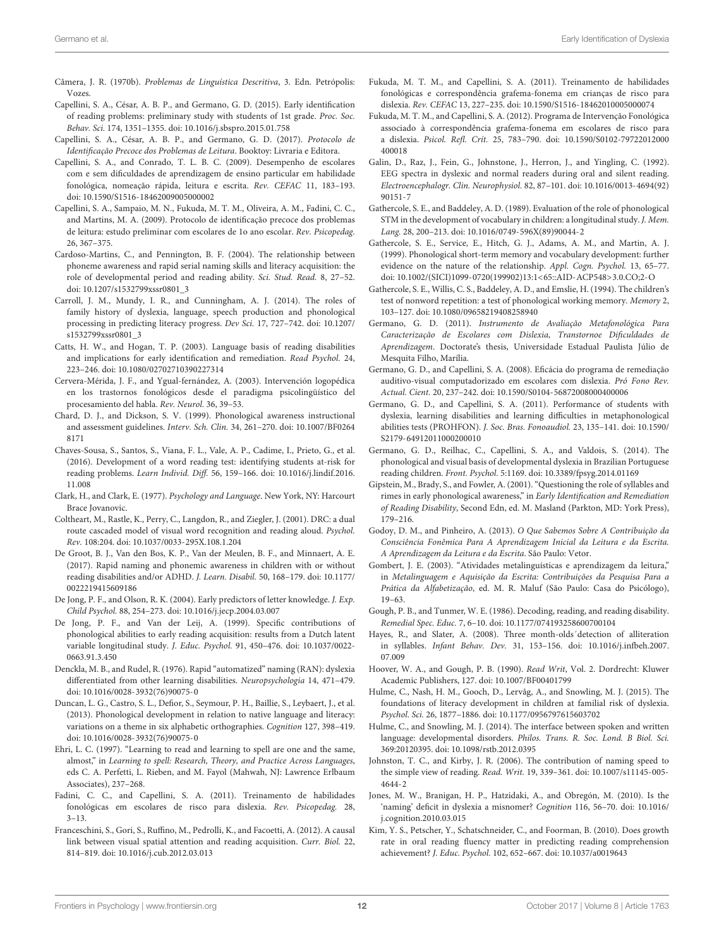- <span id="page-11-27"></span>Câmera, J. R. (1970b). Problemas de Linguística Descritiva, 3. Edn. Petrópolis: Vozes.
- <span id="page-11-2"></span>Capellini, S. A., César, A. B. P., and Germano, G. D. (2015). Early identification of reading problems: preliminary study with students of 1st grade. Proc. Soc. Behav. Sci. 174, 1351–1355. [doi: 10.1016/j.sbspro.2015.01.758](https://doi.org/10.1016/j.sbspro.2015.01.758)
- <span id="page-11-26"></span>Capellini, S. A., César, A. B. P., and Germano, G. D. (2017). Protocolo de Identificação Precoce dos Problemas de Leitura. Booktoy: Livraria e Editora.
- <span id="page-11-23"></span>Capellini, S. A., and Conrado, T. L. B. C. (2009). Desempenho de escolares com e sem dificuldades de aprendizagem de ensino particular em habilidade fonológica, nomeação rápida, leitura e escrita. Rev. CEFAC 11, 183–193. [doi: 10.1590/S1516-18462009005000002](https://doi.org/10.1590/S1516-18462009005000002)
- <span id="page-11-1"></span>Capellini, S. A., Sampaio, M. N., Fukuda, M. T. M., Oliveira, A. M., Fadini, C. C., and Martins, M. A. (2009). Protocolo de identificação precoce dos problemas de leitura: estudo preliminar com escolares de 1o ano escolar. Rev. Psicopedag. 26, 367–375.
- <span id="page-11-31"></span>Cardoso-Martins, C., and Pennington, B. F. (2004). The relationship between phoneme awareness and rapid serial naming skills and literacy acquisition: the role of developmental period and reading ability. Sci. Stud. Read. 8, 27–52. [doi: 10.1207/s1532799xssr0801\\_3](https://doi.org/10.1207/s1532799xssr0801_3)
- <span id="page-11-8"></span>Carroll, J. M., Mundy, I. R., and Cunningham, A. J. (2014). The roles of family history of dyslexia, language, speech production and phonological processing in predicting literacy progress. Dev Sci. 17, 727–742. [doi: 10.1207/](https://doi.org/10.1207/s1532799xssr0801_3) [s1532799xssr0801\\_3](https://doi.org/10.1207/s1532799xssr0801_3)
- <span id="page-11-36"></span>Catts, H. W., and Hogan, T. P. (2003). Language basis of reading disabilities and implications for early identification and remediation. Read Psychol. 24, 223–246. [doi: 10.1080/02702710390227314](https://doi.org/10.1080/02702710390227314)
- <span id="page-11-15"></span>Cervera-Mérida, J. F., and Ygual-fernández, A. (2003). Intervención logopédica en los trastornos fonológicos desde el paradigma psicolingüístico del procesamiento del habla. Rev. Neurol. 36, 39–53.
- <span id="page-11-14"></span>Chard, D. J., and Dickson, S. V. (1999). Phonological awareness instructional and assessment guidelines. Interv. Sch. Clin. 34, 261–270. [doi: 10.1007/BF0264](https://doi.org/10.1007/BF02648171) [8171](https://doi.org/10.1007/BF02648171)
- <span id="page-11-37"></span>Chaves-Sousa, S., Santos, S., Viana, F. L., Vale, A. P., Cadime, I., Prieto, G., et al. (2016). Development of a word reading test: identifying students at-risk for reading problems. Learn Individ. Diff. 56, 159–166. [doi: 10.1016/j.lindif.2016.](https://doi.org/10.1016/j.lindif.2016.11.008) [11.008](https://doi.org/10.1016/j.lindif.2016.11.008)
- <span id="page-11-38"></span>Clark, H., and Clark, E. (1977). Psychology and Language. New York, NY: Harcourt Brace Jovanovic.
- <span id="page-11-12"></span>Coltheart, M., Rastle, K., Perry, C., Langdon, R., and Ziegler, J. (2001). DRC: a dual route cascaded model of visual word recognition and reading aloud. Psychol. Rev. 108:204. [doi: 10.1037/0033-295X.108.1.204](https://doi.org/10.1037/0033-295X.108.1.204)
- <span id="page-11-40"></span>De Groot, B. J., Van den Bos, K. P., Van der Meulen, B. F., and Minnaert, A. E. (2017). Rapid naming and phonemic awareness in children with or without reading disabilities and/or ADHD. J. Learn. Disabil. 50, 168–179. [doi: 10.1177/](https://doi.org/10.1177/0022219415609186) [0022219415609186](https://doi.org/10.1177/0022219415609186)
- <span id="page-11-20"></span>De Jong, P. F., and Olson, R. K. (2004). Early predictors of letter knowledge. J. Exp. Child Psychol. 88, 254–273. [doi: 10.1016/j.jecp.2004.03.007](https://doi.org/10.1016/j.jecp.2004.03.007)
- <span id="page-11-6"></span>De Jong, P. F., and Van der Leij, A. (1999). Specific contributions of phonological abilities to early reading acquisition: results from a Dutch latent variable longitudinal study. J. Educ. Psychol. 91, 450–476. [doi: 10.1037/0022-](https://doi.org/10.1037/0022-0663.91.3.450) [0663.91.3.450](https://doi.org/10.1037/0022-0663.91.3.450)
- <span id="page-11-22"></span>Denckla, M. B., and Rudel, R. (1976). Rapid "automatized" naming (RAN): dyslexia differentiated from other learning disabilities. Neuropsychologia 14, 471–479. [doi: 10.1016/0028-3932\(76\)90075-0](https://doi.org/10.1016/0028-3932(76)90075-0)
- <span id="page-11-13"></span>Duncan, L. G., Castro, S. L., Defior, S., Seymour, P. H., Baillie, S., Leybaert, J., et al. (2013). Phonological development in relation to native language and literacy: variations on a theme in six alphabetic orthographies. Cognition 127, 398–419. [doi: 10.1016/0028-3932\(76\)90075-0](https://doi.org/10.1016/0028-3932(76)90075-0)
- <span id="page-11-41"></span>Ehri, L. C. (1997). "Learning to read and learning to spell are one and the same, almost," in Learning to spell: Research, Theory, and Practice Across Languages, eds C. A. Perfetti, L. Rieben, and M. Fayol (Mahwah, NJ: Lawrence Erlbaum Associates), 237–268.
- <span id="page-11-3"></span>Fadini, C. C., and Capellini, S. A. (2011). Treinamento de habilidades fonológicas em escolares de risco para dislexia. Rev. Psicopedag. 28, 3–13.
- <span id="page-11-25"></span>Franceschini, S., Gori, S., Ruffino, M., Pedrolli, K., and Facoetti, A. (2012). A causal link between visual spatial attention and reading acquisition. Curr. Biol. 22, 814–819. [doi: 10.1016/j.cub.2012.03.013](https://doi.org/10.1016/j.cub.2012.03.013)
- <span id="page-11-4"></span>Fukuda, M. T. M., and Capellini, S. A. (2011). Treinamento de habilidades fonológicas e correspondência grafema-fonema em crianças de risco para dislexia. Rev. CEFAC 13, 227–235. [doi: 10.1590/S1516-18462010005000074](https://doi.org/10.1590/S1516-18462010005000074)
- <span id="page-11-5"></span>Fukuda, M. T. M., and Capellini, S. A. (2012). Programa de Intervenção Fonológica associado à correspondência grafema-fonema em escolares de risco para a dislexia. Psicol. Refl. Crít. 25, 783–790. [doi: 10.1590/S0102-79722012000](https://doi.org/10.1590/S0102-79722012000400018) [400018](https://doi.org/10.1590/S0102-79722012000400018)
- <span id="page-11-33"></span>Galin, D., Raz, J., Fein, G., Johnstone, J., Herron, J., and Yingling, C. (1992). EEG spectra in dyslexic and normal readers during oral and silent reading. Electroencephalogr. Clin. Neurophysiol. 82, 87–101. [doi: 10.1016/0013-4694\(92\)](https://doi.org/10.1016/0013-4694(92)90151-7) [90151-7](https://doi.org/10.1016/0013-4694(92)90151-7)
- <span id="page-11-19"></span>Gathercole, S. E., and Baddeley, A. D. (1989). Evaluation of the role of phonological STM in the development of vocabulary in children: a longitudinal study. J. Mem. Lang. 28, 200–213. [doi: 10.1016/0749-596X\(89\)90044-2](https://doi.org/10.1016/0749-596X(89)90044-2)
- <span id="page-11-18"></span>Gathercole, S. E., Service, E., Hitch, G. J., Adams, A. M., and Martin, A. J. (1999). Phonological short-term memory and vocabulary development: further evidence on the nature of the relationship. Appl. Cogn. Psychol. 13, 65–77. [doi: 10.1002/\(SICI\)1099-0720\(199902\)13:1<65::AID-ACP548>3.0.CO;2-O](https://doi.org/10.1002/(SICI)1099-0720(199902)13:1<65::AID-ACP548>3.0.CO;2-O)
- <span id="page-11-32"></span>Gathercole, S. E., Willis, C. S., Baddeley, A. D., and Emslie, H. (1994). The children's test of nonword repetition: a test of phonological working memory. Memory 2, 103–127. [doi: 10.1080/09658219408258940](https://doi.org/10.1080/09658219408258940)
- <span id="page-11-29"></span>Germano, G. D. (2011). Instrumento de Avaliação Metafonológica Para Caracterização de Escolares com Dislexia, Transtornoe Dificuldades de Aprendizagem. Doctorate's thesis, Universidade Estadual Paulista Júlio de Mesquita Filho, Marília.
- <span id="page-11-28"></span>Germano, G. D., and Capellini, S. A. (2008). Eficácia do programa de remediação auditivo-visual computadorizado em escolares com dislexia. Pró Fono Rev. Actual. Cient. 20, 237–242. [doi: 10.1590/S0104-56872008000400006](https://doi.org/10.1590/S0104-56872008000400006)
- <span id="page-11-17"></span>Germano, G. D., and Capellini, S. A. (2011). Performance of students with dyslexia, learning disabilities and learning difficulties in metaphonological abilities tests (PROHFON). J. Soc. Bras. Fonoaudiol. 23, 135–141. [doi: 10.1590/](https://doi.org/10.1590/S2179-64912011000200010) [S2179-64912011000200010](https://doi.org/10.1590/S2179-64912011000200010)
- <span id="page-11-9"></span>Germano, G. D., Reilhac, C., Capellini, S. A., and Valdois, S. (2014). The phonological and visual basis of developmental dyslexia in Brazilian Portuguese reading children. Front. Psychol. 5:1169. [doi: 10.3389/fpsyg.2014.01169](https://doi.org/10.3389/fpsyg.2014.01169)
- <span id="page-11-30"></span>Gipstein, M., Brady, S., and Fowler, A. (2001). "Questioning the role of syllables and rimes in early phonological awareness," in Early Identification and Remediation of Reading Disability, Second Edn, ed. M. Masland (Parkton, MD: York Press), 179–216.
- <span id="page-11-10"></span>Godoy, D. M., and Pinheiro, A. (2013). O Que Sabemos Sobre A Contribuição da Consciência Fonêmica Para A Aprendizagem Inicial da Leitura e da Escrita. A Aprendizagem da Leitura e da Escrita. São Paulo: Vetor.
- <span id="page-11-16"></span>Gombert, J. E. (2003). "Atividades metalinguísticas e aprendizagem da leitura," in Metalinguagem e Aquisição da Escrita: Contribuições da Pesquisa Para a Prática da Alfabetização, ed. M. R. Maluf (São Paulo: Casa do Psicólogo), 19–63.
- <span id="page-11-34"></span>Gough, P. B., and Tunmer, W. E. (1986). Decoding, reading, and reading disability. Remedial Spec. Educ. 7, 6–10. [doi: 10.1177/074193258600700104](https://doi.org/10.1177/074193258600700104)
- <span id="page-11-11"></span>Hayes, R., and Slater, A. (2008). Three month-olds´detection of alliteration in syllables. Infant Behav. Dev. 31, 153–156. [doi: 10.1016/j.infbeh.2007.](https://doi.org/10.1016/j.infbeh.2007.07.009) [07.009](https://doi.org/10.1016/j.infbeh.2007.07.009)
- <span id="page-11-35"></span>Hoover, W. A., and Gough, P. B. (1990). Read Writ, Vol. 2. Dordrecht: Kluwer Academic Publishers, 127. [doi: 10.1007/BF00401799](https://doi.org/10.1007/BF00401799)
- <span id="page-11-0"></span>Hulme, C., Nash, H. M., Gooch, D., Lervåg, A., and Snowling, M. J. (2015). The foundations of literacy development in children at familial risk of dyslexia. Psychol. Sci. 26, 1877–1886. [doi: 10.1177/0956797615603702](https://doi.org/10.1177/0956797615603702)
- <span id="page-11-7"></span>Hulme, C., and Snowling, M. J. (2014). The interface between spoken and written language: developmental disorders. Philos. Trans. R. Soc. Lond. B Biol. Sci. 369:20120395. [doi: 10.1098/rstb.2012.0395](https://doi.org/10.1098/rstb.2012.0395)
- <span id="page-11-24"></span>Johnston, T. C., and Kirby, J. R. (2006). The contribution of naming speed to the simple view of reading. Read. Writ. 19, 339–361. [doi: 10.1007/s11145-005-](https://doi.org/10.1007/s11145-005-4644-2) [4644-2](https://doi.org/10.1007/s11145-005-4644-2)
- <span id="page-11-21"></span>Jones, M. W., Branigan, H. P., Hatzidaki, A., and Obregón, M. (2010). Is the 'naming' deficit in dyslexia a misnomer? Cognition 116, 56–70. [doi: 10.1016/](https://doi.org/10.1016/j.cognition.2010.03.015) [j.cognition.2010.03.015](https://doi.org/10.1016/j.cognition.2010.03.015)
- <span id="page-11-39"></span>Kim, Y. S., Petscher, Y., Schatschneider, C., and Foorman, B. (2010). Does growth rate in oral reading fluency matter in predicting reading comprehension achievement? J. Educ. Psychol. 102, 652–667. [doi: 10.1037/a0019643](https://doi.org/10.1037/a0019643)